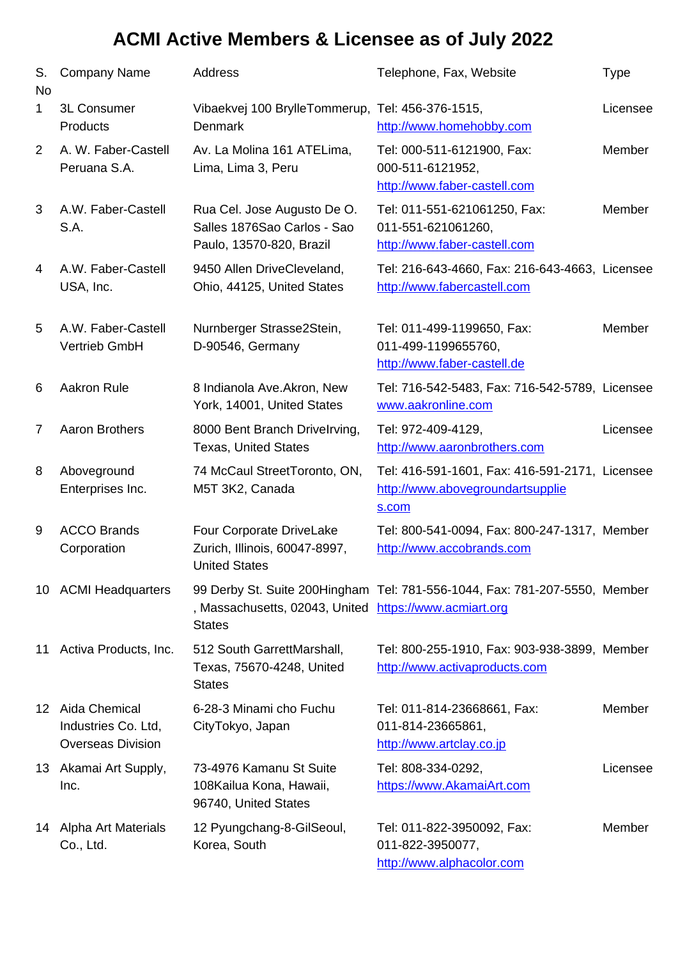| S.<br><b>No</b> | <b>Company Name</b>                                                 | Address                                                                                | Telephone, Fax, Website                                                                     | <b>Type</b> |
|-----------------|---------------------------------------------------------------------|----------------------------------------------------------------------------------------|---------------------------------------------------------------------------------------------|-------------|
| $\mathbf{1}$    | 3L Consumer<br>Products                                             | Vibaekvej 100 BrylleTommerup, Tel: 456-376-1515,<br>Denmark                            | http://www.homehobby.com                                                                    | Licensee    |
| $\overline{2}$  | A. W. Faber-Castell<br>Peruana S.A.                                 | Av. La Molina 161 ATELima,<br>Lima, Lima 3, Peru                                       | Tel: 000-511-6121900, Fax:<br>000-511-6121952,<br>http://www.faber-castell.com              | Member      |
| 3               | A.W. Faber-Castell<br>S.A.                                          | Rua Cel. Jose Augusto De O.<br>Salles 1876Sao Carlos - Sao<br>Paulo, 13570-820, Brazil | Tel: 011-551-621061250, Fax:<br>011-551-621061260,<br>http://www.faber-castell.com          | Member      |
| 4               | A.W. Faber-Castell<br>USA, Inc.                                     | 9450 Allen DriveCleveland,<br>Ohio, 44125, United States                               | Tel: 216-643-4660, Fax: 216-643-4663, Licensee<br>http://www.fabercastell.com               |             |
| 5               | A.W. Faber-Castell<br>Vertrieb GmbH                                 | Nurnberger Strasse2Stein,<br>D-90546, Germany                                          | Tel: 011-499-1199650, Fax:<br>011-499-1199655760,<br>http://www.faber-castell.de            | Member      |
| 6               | Aakron Rule                                                         | 8 Indianola Ave.Akron, New<br>York, 14001, United States                               | Tel: 716-542-5483, Fax: 716-542-5789, Licensee<br>www.aakronline.com                        |             |
| 7               | <b>Aaron Brothers</b>                                               | 8000 Bent Branch Drivelrving,<br><b>Texas, United States</b>                           | Tel: 972-409-4129,<br>http://www.aaronbrothers.com                                          | Licensee    |
| 8               | Aboveground<br>Enterprises Inc.                                     | 74 McCaul StreetToronto, ON,<br>M5T 3K2, Canada                                        | Tel: 416-591-1601, Fax: 416-591-2171, Licensee<br>http://www.abovegroundartsupplie<br>s.com |             |
| 9               | <b>ACCO Brands</b><br>Corporation                                   | Four Corporate DriveLake<br>Zurich, Illinois, 60047-8997,<br><b>United States</b>      | Tel: 800-541-0094, Fax: 800-247-1317, Member<br>http://www.accobrands.com                   |             |
|                 | 10 ACMI Headquarters                                                | , Massachusetts, 02043, United https://www.acmiart.org<br><b>States</b>                | 99 Derby St. Suite 200Hingham Tel: 781-556-1044, Fax: 781-207-5550, Member                  |             |
| 11              | Activa Products, Inc.                                               | 512 South GarrettMarshall,<br>Texas, 75670-4248, United<br><b>States</b>               | Tel: 800-255-1910, Fax: 903-938-3899, Member<br>http://www.activaproducts.com               |             |
|                 | 12 Aida Chemical<br>Industries Co. Ltd,<br><b>Overseas Division</b> | 6-28-3 Minami cho Fuchu<br>CityTokyo, Japan                                            | Tel: 011-814-23668661, Fax:<br>011-814-23665861,<br>http://www.artclay.co.jp                | Member      |
|                 | 13 Akamai Art Supply,<br>Inc.                                       | 73-4976 Kamanu St Suite<br>108 Kailua Kona, Hawaii,<br>96740, United States            | Tel: 808-334-0292,<br>https://www.AkamaiArt.com                                             | Licensee    |
| 14              | Alpha Art Materials<br>Co., Ltd.                                    | 12 Pyungchang-8-GilSeoul,<br>Korea, South                                              | Tel: 011-822-3950092, Fax:<br>011-822-3950077,<br>http://www.alphacolor.com                 | Member      |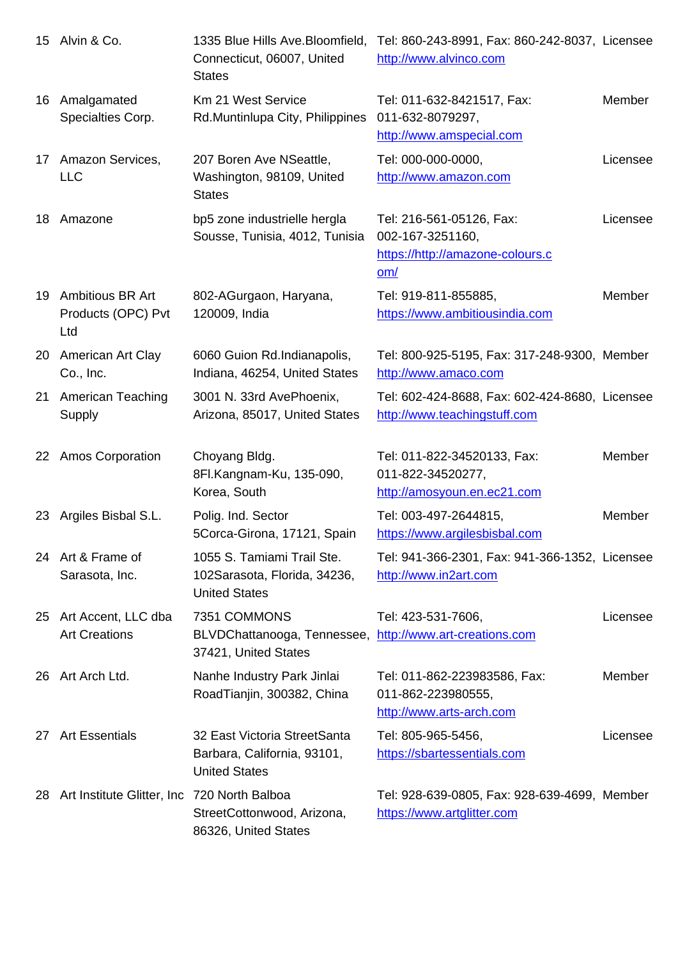|    |                                                      | Connecticut, UbUUT, United<br><b>States</b>                                                      | <u>http://www.alvinco.com</u>                                                             |               |
|----|------------------------------------------------------|--------------------------------------------------------------------------------------------------|-------------------------------------------------------------------------------------------|---------------|
| 16 | Amalgamated<br>Specialties Corp.                     | Km 21 West Service<br>Rd.Muntinlupa City, Philippines                                            | Tel: 011-632-8421517, Fax:<br>011-632-8079297,<br>http://www.amspecial.com                | <b>Member</b> |
| 17 | Amazon Services,<br><b>LLC</b>                       | 207 Boren Ave NSeattle,<br>Washington, 98109, United<br><b>States</b>                            | Tel: 000-000-0000,<br>http://www.amazon.com                                               | Licensee      |
| 18 | Amazone                                              | bp5 zone industrielle hergla<br>Sousse, Tunisia, 4012, Tunisia                                   | Tel: 216-561-05126, Fax:<br>002-167-3251160,<br>https://http://amazone-colours.c<br>$om/$ | Licensee      |
| 19 | <b>Ambitious BR Art</b><br>Products (OPC) Pvt<br>Ltd | 802-AGurgaon, Haryana,<br>120009, India                                                          | Tel: 919-811-855885,<br>https://www.ambitiousindia.com                                    | Member        |
|    | 20 American Art Clay<br>Co., Inc.                    | 6060 Guion Rd.Indianapolis,<br>Indiana, 46254, United States                                     | Tel: 800-925-5195, Fax: 317-248-9300, Member<br>http://www.amaco.com                      |               |
| 21 | <b>American Teaching</b><br>Supply                   | 3001 N. 33rd AvePhoenix,<br>Arizona, 85017, United States                                        | Tel: 602-424-8688, Fax: 602-424-8680, Licensee<br>http://www.teachingstuff.com            |               |
|    | 22 Amos Corporation                                  | Choyang Bldg.<br>8Fl.Kangnam-Ku, 135-090,<br>Korea, South                                        | Tel: 011-822-34520133, Fax:<br>011-822-34520277,<br>http://amosyoun.en.ec21.com           | Member        |
| 23 | Argiles Bisbal S.L.                                  | Polig. Ind. Sector<br>5Corca-Girona, 17121, Spain                                                | Tel: 003-497-2644815,<br>https://www.argilesbisbal.com                                    | Member        |
|    | 24 Art & Frame of<br>Sarasota, Inc.                  | 1055 S. Tamiami Trail Ste.<br>102Sarasota, Florida, 34236,<br><b>United States</b>               | Tel: 941-366-2301, Fax: 941-366-1352, Licensee<br>http://www.in2art.com                   |               |
| 25 | Art Accent, LLC dba<br><b>Art Creations</b>          | 7351 COMMONS<br>BLVDChattanooga, Tennessee, http://www.art-creations.com<br>37421, United States | Tel: 423-531-7606,                                                                        | Licensee      |
|    | 26 Art Arch Ltd.                                     | Nanhe Industry Park Jinlai<br>RoadTianjin, 300382, China                                         | Tel: 011-862-223983586, Fax:<br>011-862-223980555,<br>http://www.arts-arch.com            | Member        |
| 27 | <b>Art Essentials</b>                                | 32 East Victoria StreetSanta<br>Barbara, California, 93101,<br><b>United States</b>              | Tel: 805-965-5456,<br>https://sbartessentials.com                                         | Licensee      |
|    | 28 Art Institute Glitter, Inc 720 North Balboa       | StreetCottonwood, Arizona,<br>86326, United States                                               | Tel: 928-639-0805, Fax: 928-639-4699, Member<br>https://www.artglitter.com                |               |
|    |                                                      |                                                                                                  |                                                                                           |               |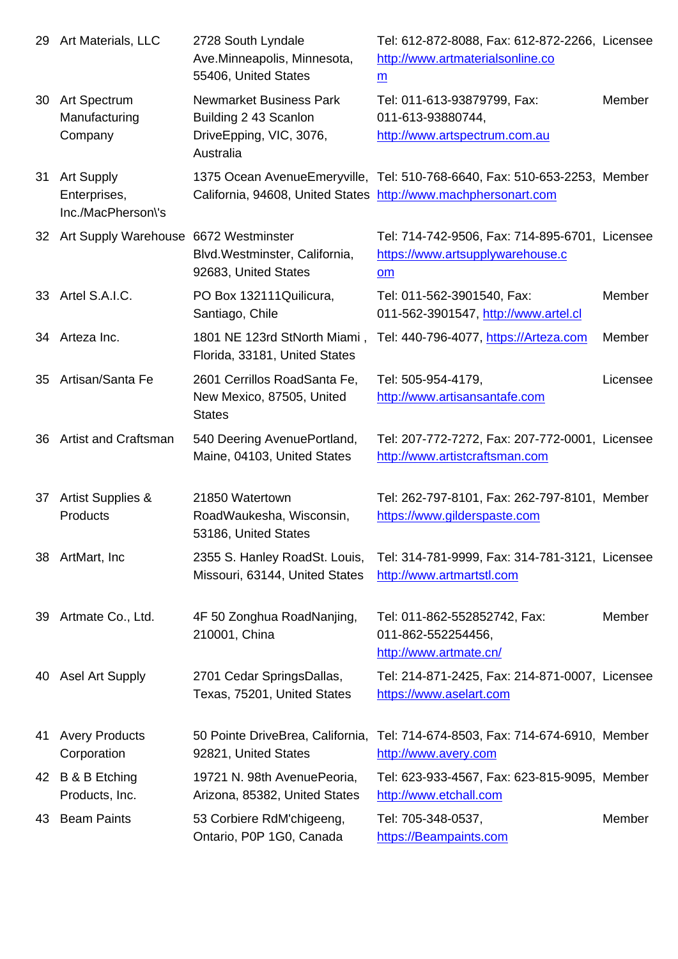|    |                                                         | Ave.iviinneapolis, iviinnesota,<br>55406, United States                                         | <u>http://www.artmaterialsoniine.co</u><br>m                                                                                                |          |
|----|---------------------------------------------------------|-------------------------------------------------------------------------------------------------|---------------------------------------------------------------------------------------------------------------------------------------------|----------|
|    | 30 Art Spectrum<br>Manufacturing<br>Company             | <b>Newmarket Business Park</b><br>Building 2 43 Scanlon<br>DriveEpping, VIC, 3076,<br>Australia | Tel: 011-613-93879799, Fax:<br>011-613-93880744,<br>http://www.artspectrum.com.au                                                           | Member   |
| 31 | <b>Art Supply</b><br>Enterprises,<br>Inc./MacPherson\'s |                                                                                                 | 1375 Ocean AvenueEmeryville, Tel: 510-768-6640, Fax: 510-653-2253, Member<br>California, 94608, United States http://www.machphersonart.com |          |
|    | 32 Art Supply Warehouse 6672 Westminster                | Blvd. Westminster, California,<br>92683, United States                                          | Tel: 714-742-9506, Fax: 714-895-6701, Licensee<br>https://www.artsupplywarehouse.c<br>$om$                                                  |          |
|    | 33 Artel S.A.I.C.                                       | PO Box 132111Quilicura,<br>Santiago, Chile                                                      | Tel: 011-562-3901540, Fax:<br>011-562-3901547, http://www.artel.cl                                                                          | Member   |
|    | 34 Arteza Inc.                                          | 1801 NE 123rd StNorth Miami,<br>Florida, 33181, United States                                   | Tel: 440-796-4077, https://Arteza.com                                                                                                       | Member   |
| 35 | Artisan/Santa Fe                                        | 2601 Cerrillos RoadSanta Fe,<br>New Mexico, 87505, United<br><b>States</b>                      | Tel: 505-954-4179,<br>http://www.artisansantafe.com                                                                                         | Licensee |
|    | 36 Artist and Craftsman                                 | 540 Deering AvenuePortland,<br>Maine, 04103, United States                                      | Tel: 207-772-7272, Fax: 207-772-0001, Licensee<br>http://www.artistcraftsman.com                                                            |          |
|    | 37 Artist Supplies &<br>Products                        | 21850 Watertown<br>RoadWaukesha, Wisconsin,<br>53186, United States                             | Tel: 262-797-8101, Fax: 262-797-8101, Member<br>https://www.gilderspaste.com                                                                |          |
|    | 38 ArtMart, Inc                                         | 2355 S. Hanley RoadSt. Louis,<br>Missouri, 63144, United States                                 | Tel: 314-781-9999, Fax: 314-781-3121, Licensee<br>http://www.artmartstl.com                                                                 |          |
|    | 39 Artmate Co., Ltd.                                    | 4F 50 Zonghua RoadNanjing,<br>210001, China                                                     | Tel: 011-862-552852742, Fax:<br>011-862-552254456,<br>http://www.artmate.cn/                                                                | Member   |
| 40 | <b>Asel Art Supply</b>                                  | 2701 Cedar SpringsDallas,<br>Texas, 75201, United States                                        | Tel: 214-871-2425, Fax: 214-871-0007, Licensee<br>https://www.aselart.com                                                                   |          |
|    | 41 Avery Products<br>Corporation                        | 50 Pointe DriveBrea, California,<br>92821, United States                                        | Tel: 714-674-8503, Fax: 714-674-6910, Member<br>http://www.avery.com                                                                        |          |
|    | 42 B & B Etching<br>Products, Inc.                      | 19721 N. 98th AvenuePeoria,<br>Arizona, 85382, United States                                    | Tel: 623-933-4567, Fax: 623-815-9095, Member<br>http://www.etchall.com                                                                      |          |
|    | 43 Beam Paints                                          | 53 Corbiere RdM'chigeeng,<br>Ontario, P0P 1G0, Canada                                           | Tel: 705-348-0537,<br>https://Beampaints.com                                                                                                | Member   |
|    |                                                         |                                                                                                 |                                                                                                                                             |          |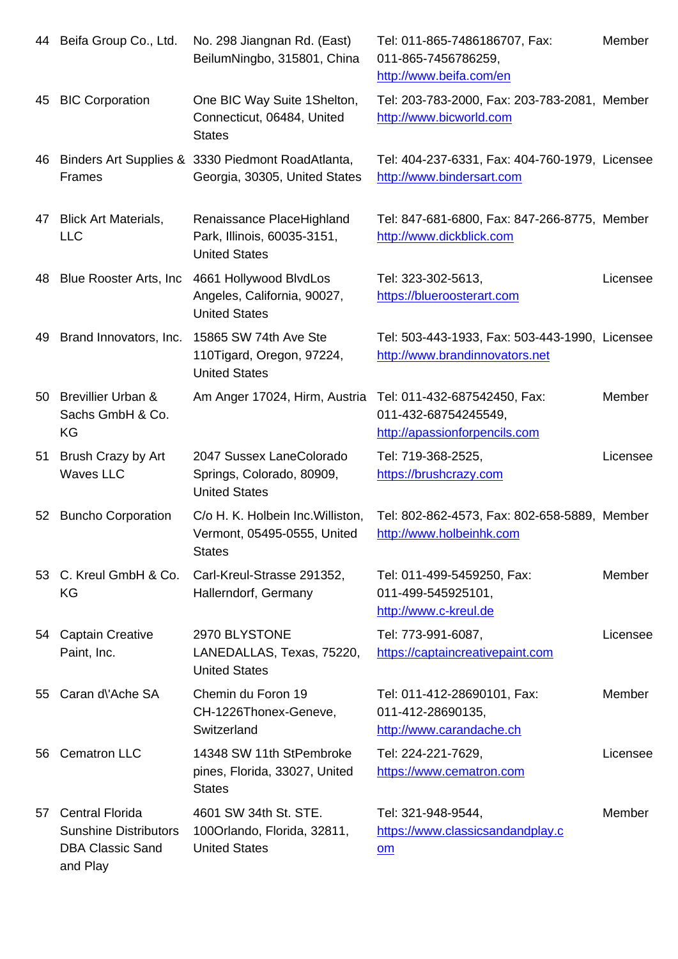|     |                                                                                               | Belluminingpo, 315801, China                                                          | UTT-805-7450780Z59,<br>http://www.beifa.com/en                                   |          |
|-----|-----------------------------------------------------------------------------------------------|---------------------------------------------------------------------------------------|----------------------------------------------------------------------------------|----------|
| 45  | <b>BIC Corporation</b>                                                                        | One BIC Way Suite 1 Shelton,<br>Connecticut, 06484, United<br><b>States</b>           | Tel: 203-783-2000, Fax: 203-783-2081, Member<br>http://www.bicworld.com          |          |
|     | Frames                                                                                        | 46 Binders Art Supplies & 3330 Piedmont RoadAtlanta,<br>Georgia, 30305, United States | Tel: 404-237-6331, Fax: 404-760-1979, Licensee<br>http://www.bindersart.com      |          |
| 47  | <b>Blick Art Materials,</b><br><b>LLC</b>                                                     | Renaissance PlaceHighland<br>Park, Illinois, 60035-3151,<br><b>United States</b>      | Tel: 847-681-6800, Fax: 847-266-8775, Member<br>http://www.dickblick.com         |          |
| 48  | Blue Rooster Arts, Inc.                                                                       | 4661 Hollywood BlvdLos<br>Angeles, California, 90027,<br><b>United States</b>         | Tel: 323-302-5613,<br>https://blueroosterart.com                                 | Licensee |
|     | 49 Brand Innovators, Inc.                                                                     | 15865 SW 74th Ave Ste<br>110Tigard, Oregon, 97224,<br><b>United States</b>            | Tel: 503-443-1933, Fax: 503-443-1990, Licensee<br>http://www.brandinnovators.net |          |
|     | 50 Brevillier Urban &<br>Sachs GmbH & Co.<br>KG                                               | Am Anger 17024, Hirm, Austria Tel: 011-432-687542450, Fax:                            | 011-432-68754245549,<br>http://apassionforpencils.com                            | Member   |
| 51  | Brush Crazy by Art<br>Waves LLC                                                               | 2047 Sussex LaneColorado<br>Springs, Colorado, 80909,<br><b>United States</b>         | Tel: 719-368-2525,<br>https://brushcrazy.com                                     | Licensee |
|     | 52 Buncho Corporation                                                                         | C/o H. K. Holbein Inc. Williston,<br>Vermont, 05495-0555, United<br><b>States</b>     | Tel: 802-862-4573, Fax: 802-658-5889, Member<br>http://www.holbeinhk.com         |          |
|     | 53 C. Kreul GmbH & Co.<br>KG                                                                  | Carl-Kreul-Strasse 291352,<br>Hallerndorf, Germany                                    | Tel: 011-499-5459250, Fax:<br>011-499-545925101,<br>http://www.c-kreul.de        | Member   |
|     | 54 Captain Creative<br>Paint, Inc.                                                            | 2970 BLYSTONE<br>LANEDALLAS, Texas, 75220,<br><b>United States</b>                    | Tel: 773-991-6087,<br>https://captaincreativepaint.com                           | Licensee |
| 55  | Caran d'Ache SA                                                                               | Chemin du Foron 19<br>CH-1226Thonex-Geneve,<br>Switzerland                            | Tel: 011-412-28690101, Fax:<br>011-412-28690135,<br>http://www.carandache.ch     | Member   |
| 56. | <b>Cematron LLC</b>                                                                           | 14348 SW 11th StPembroke<br>pines, Florida, 33027, United<br><b>States</b>            | Tel: 224-221-7629,<br>https://www.cematron.com                                   | Licensee |
| 57  | <b>Central Florida</b><br><b>Sunshine Distributors</b><br><b>DBA Classic Sand</b><br>and Play | 4601 SW 34th St. STE.<br>100Orlando, Florida, 32811,<br><b>United States</b>          | Tel: 321-948-9544,<br>https://www.classicsandandplay.c<br>$om$                   | Member   |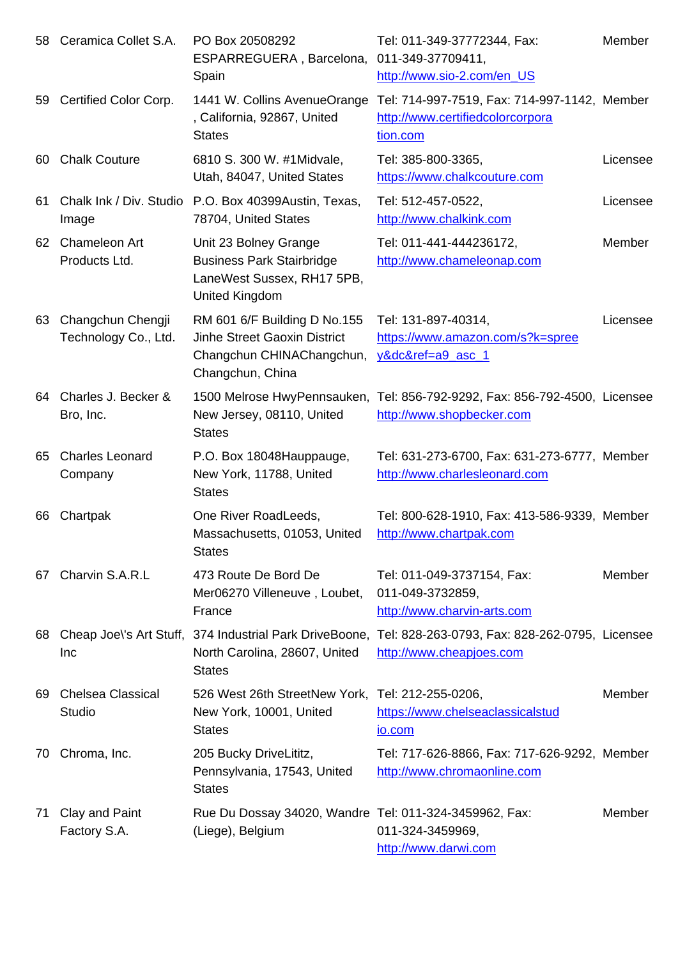|     |                                           | ESPARREGUERA, Barcelona, UT1-349-311094T1,<br>Spain                                                           | http://www.sio-2.com/en_US                                                                                                         |          |
|-----|-------------------------------------------|---------------------------------------------------------------------------------------------------------------|------------------------------------------------------------------------------------------------------------------------------------|----------|
| 59  | Certified Color Corp.                     | 1441 W. Collins AvenueOrange<br>, California, 92867, United<br><b>States</b>                                  | Tel: 714-997-7519, Fax: 714-997-1142, Member<br>http://www.certifiedcolorcorpora<br>tion.com                                       |          |
| 60. | <b>Chalk Couture</b>                      | 6810 S. 300 W. #1Midvale,<br>Utah, 84047, United States                                                       | Tel: 385-800-3365,<br>https://www.chalkcouture.com                                                                                 | Licensee |
| 61  | Image                                     | Chalk Ink / Div. Studio P.O. Box 40399Austin, Texas,<br>78704, United States                                  | Tel: 512-457-0522,<br>http://www.chalkink.com                                                                                      | Licensee |
| 62  | Chameleon Art<br>Products Ltd.            | Unit 23 Bolney Grange<br><b>Business Park Stairbridge</b><br>LaneWest Sussex, RH17 5PB,<br>United Kingdom     | Tel: 011-441-444236172,<br>http://www.chameleonap.com                                                                              | Member   |
| 63  | Changchun Chengji<br>Technology Co., Ltd. | RM 601 6/F Building D No.155<br>Jinhe Street Gaoxin District<br>Changchun CHINAChangchun,<br>Changchun, China | Tel: 131-897-40314,<br>https://www.amazon.com/s?k=spree<br>y&dc&ref=a9_asc_1                                                       | Licensee |
| 64. | Charles J. Becker &<br>Bro, Inc.          | New Jersey, 08110, United<br><b>States</b>                                                                    | 1500 Melrose HwyPennsauken, Tel: 856-792-9292, Fax: 856-792-4500, Licensee<br>http://www.shopbecker.com                            |          |
| 65  | <b>Charles Leonard</b><br>Company         | P.O. Box 18048Hauppauge,<br>New York, 11788, United<br><b>States</b>                                          | Tel: 631-273-6700, Fax: 631-273-6777, Member<br>http://www.charlesleonard.com                                                      |          |
| 66  | Chartpak                                  | One River RoadLeeds,<br>Massachusetts, 01053, United<br><b>States</b>                                         | Tel: 800-628-1910, Fax: 413-586-9339, Member<br>http://www.chartpak.com                                                            |          |
| 67  | Charvin S.A.R.L                           | 473 Route De Bord De<br>Mer06270 Villeneuve, Loubet,<br>France                                                | Tel: 011-049-3737154, Fax:<br>011-049-3732859,<br>http://www.charvin-arts.com                                                      | Member   |
| 68  | Inc                                       | North Carolina, 28607, United<br><b>States</b>                                                                | Cheap Joel's Art Stuff, 374 Industrial Park DriveBoone, Tel: 828-263-0793, Fax: 828-262-0795, Licensee<br>http://www.cheapjoes.com |          |
| 69. | <b>Chelsea Classical</b><br>Studio        | 526 West 26th StreetNew York,<br>New York, 10001, United<br><b>States</b>                                     | Tel: 212-255-0206,<br>https://www.chelseaclassicalstud<br>io.com                                                                   | Member   |
| 70. | Chroma, Inc.                              | 205 Bucky DriveLititz,<br>Pennsylvania, 17543, United<br><b>States</b>                                        | Tel: 717-626-8866, Fax: 717-626-9292, Member<br>http://www.chromaonline.com                                                        |          |
| 71  | Clay and Paint<br>Factory S.A.            | Rue Du Dossay 34020, Wandre Tel: 011-324-3459962, Fax:<br>(Liege), Belgium                                    | 011-324-3459969,<br>http://www.darwi.com                                                                                           | Member   |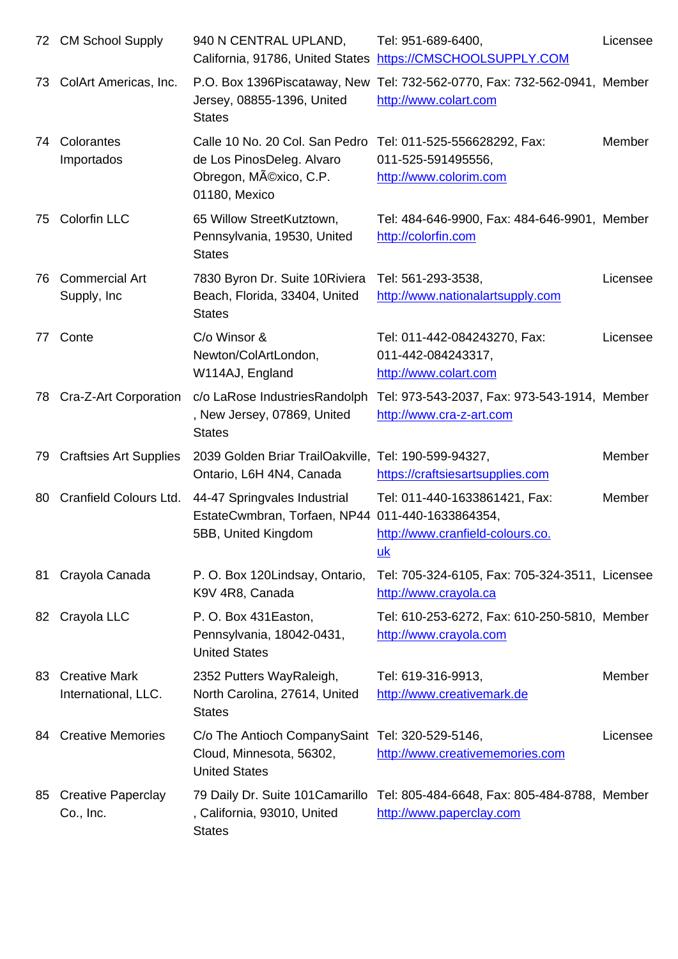|     |                                             |                                                                                                         | California, 91786, United States https://CMSCHOOLSUPPLY.COM                                        |          |
|-----|---------------------------------------------|---------------------------------------------------------------------------------------------------------|----------------------------------------------------------------------------------------------------|----------|
| 73. | ColArt Americas, Inc.                       | Jersey, 08855-1396, United<br><b>States</b>                                                             | P.O. Box 1396Piscataway, New Tel: 732-562-0770, Fax: 732-562-0941, Member<br>http://www.colart.com |          |
| 74  | Colorantes<br>Importados                    | Calle 10 No. 20 Col. San Pedro<br>de Los PinosDeleg. Alvaro<br>Obregon, México, C.P.<br>01180, Mexico   | Tel: 011-525-556628292, Fax:<br>011-525-591495556,<br>http://www.colorim.com                       | Member   |
| 75  | <b>Colorfin LLC</b>                         | 65 Willow StreetKutztown,<br>Pennsylvania, 19530, United<br><b>States</b>                               | Tel: 484-646-9900, Fax: 484-646-9901, Member<br>http://colorfin.com                                |          |
| 76  | <b>Commercial Art</b><br>Supply, Inc.       | 7830 Byron Dr. Suite 10 Riviera<br>Beach, Florida, 33404, United<br><b>States</b>                       | Tel: 561-293-3538,<br>http://www.nationalartsupply.com                                             | Licensee |
| 77. | Conte                                       | C/o Winsor &<br>Newton/ColArtLondon,<br>W114AJ, England                                                 | Tel: 011-442-084243270, Fax:<br>011-442-084243317,<br>http://www.colart.com                        | Licensee |
| 78. | Cra-Z-Art Corporation                       | c/o LaRose IndustriesRandolph<br>, New Jersey, 07869, United<br><b>States</b>                           | Tel: 973-543-2037, Fax: 973-543-1914, Member<br>http://www.cra-z-art.com                           |          |
| 79  | <b>Craftsies Art Supplies</b>               | 2039 Golden Briar TrailOakville, Tel: 190-599-94327,<br>Ontario, L6H 4N4, Canada                        | https://craftsiesartsupplies.com                                                                   | Member   |
| 80  | Cranfield Colours Ltd.                      | 44-47 Springvales Industrial<br>EstateCwmbran, Torfaen, NP44 011-440-1633864354,<br>5BB, United Kingdom | Tel: 011-440-1633861421, Fax:<br>http://www.cranfield-colours.co.<br>uk                            | Member   |
| 81  | Crayola Canada                              | P. O. Box 120 Lindsay, Ontario,<br>K9V 4R8, Canada                                                      | Tel: 705-324-6105, Fax: 705-324-3511, Licensee<br>http://www.crayola.ca                            |          |
| 82  | Crayola LLC                                 | P.O. Box 431 Easton,<br>Pennsylvania, 18042-0431,<br><b>United States</b>                               | Tel: 610-253-6272, Fax: 610-250-5810, Member<br>http://www.crayola.com                             |          |
| 83  | <b>Creative Mark</b><br>International, LLC. | 2352 Putters WayRaleigh,<br>North Carolina, 27614, United<br><b>States</b>                              | Tel: 619-316-9913,<br>http://www.creativemark.de                                                   | Member   |
| 84. | <b>Creative Memories</b>                    | C/o The Antioch CompanySaint Tel: 320-529-5146,<br>Cloud, Minnesota, 56302,<br><b>United States</b>     | http://www.creativememories.com                                                                    | Licensee |
| 85  | <b>Creative Paperclay</b><br>Co., Inc.      | 79 Daily Dr. Suite 101 Camarillo<br>, California, 93010, United<br><b>States</b>                        | Tel: 805-484-6648, Fax: 805-484-8788, Member<br>http://www.paperclay.com                           |          |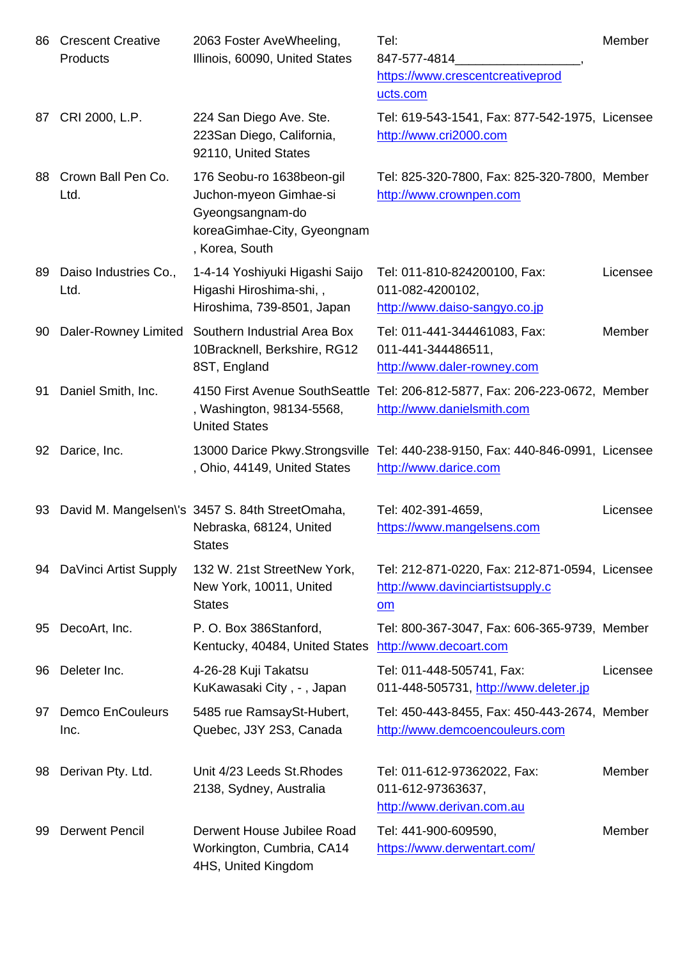|    | Products                        | Illinois, buusu, United States                                                                                           | $841 - 511 - 4814$<br>https://www.crescentcreativeprod<br>ucts.com                                     |          |
|----|---------------------------------|--------------------------------------------------------------------------------------------------------------------------|--------------------------------------------------------------------------------------------------------|----------|
|    | 87 CRI 2000, L.P.               | 224 San Diego Ave. Ste.<br>223San Diego, California,<br>92110, United States                                             | Tel: 619-543-1541, Fax: 877-542-1975, Licensee<br>http://www.cri2000.com                               |          |
| 88 | Crown Ball Pen Co.<br>Ltd.      | 176 Seobu-ro 1638beon-gil<br>Juchon-myeon Gimhae-si<br>Gyeongsangnam-do<br>koreaGimhae-City, Gyeongnam<br>, Korea, South | Tel: 825-320-7800, Fax: 825-320-7800, Member<br>http://www.crownpen.com                                |          |
| 89 | Daiso Industries Co.,<br>Ltd.   | 1-4-14 Yoshiyuki Higashi Saijo<br>Higashi Hiroshima-shi,,<br>Hiroshima, 739-8501, Japan                                  | Tel: 011-810-824200100, Fax:<br>011-082-4200102,<br>http://www.daiso-sangyo.co.jp                      | Licensee |
| 90 |                                 | Daler-Rowney Limited Southern Industrial Area Box<br>10Bracknell, Berkshire, RG12<br>8ST, England                        | Tel: 011-441-344461083, Fax:<br>011-441-344486511,<br>http://www.daler-rowney.com                      | Member   |
| 91 | Daniel Smith, Inc.              | 4150 First Avenue SouthSeattle<br>, Washington, 98134-5568,<br><b>United States</b>                                      | Tel: 206-812-5877, Fax: 206-223-0672, Member<br>http://www.danielsmith.com                             |          |
| 92 | Darice, Inc.                    | , Ohio, 44149, United States                                                                                             | 13000 Darice Pkwy.Strongsville Tel: 440-238-9150, Fax: 440-846-0991, Licensee<br>http://www.darice.com |          |
| 93 |                                 | David M. Mangelsen\'s 3457 S. 84th StreetOmaha,<br>Nebraska, 68124, United<br><b>States</b>                              | Tel: 402-391-4659,<br>https://www.mangelsens.com                                                       | Licensee |
|    | 94 DaVinci Artist Supply        | 132 W. 21st StreetNew York,<br>New York, 10011, United<br><b>States</b>                                                  | Tel: 212-871-0220, Fax: 212-871-0594, Licensee<br>http://www.davinciartistsupply.c<br>$om$             |          |
| 95 | DecoArt, Inc.                   | P. O. Box 386Stanford,<br>Kentucky, 40484, United States                                                                 | Tel: 800-367-3047, Fax: 606-365-9739, Member<br>http://www.decoart.com                                 |          |
| 96 | Deleter Inc.                    | 4-26-28 Kuji Takatsu<br>KuKawasaki City, -, Japan                                                                        | Tel: 011-448-505741, Fax:<br>011-448-505731, http://www.deleter.jp                                     | Licensee |
| 97 | <b>Demco EnCouleurs</b><br>Inc. | 5485 rue RamsaySt-Hubert,<br>Quebec, J3Y 2S3, Canada                                                                     | Tel: 450-443-8455, Fax: 450-443-2674, Member<br>http://www.demcoencouleurs.com                         |          |
| 98 | Derivan Pty. Ltd.               | Unit 4/23 Leeds St. Rhodes<br>2138, Sydney, Australia                                                                    | Tel: 011-612-97362022, Fax:<br>011-612-97363637,<br>http://www.derivan.com.au                          | Member   |
| 99 | <b>Derwent Pencil</b>           | Derwent House Jubilee Road<br>Workington, Cumbria, CA14<br>4HS, United Kingdom                                           | Tel: 441-900-609590,<br>https://www.derwentart.com/                                                    | Member   |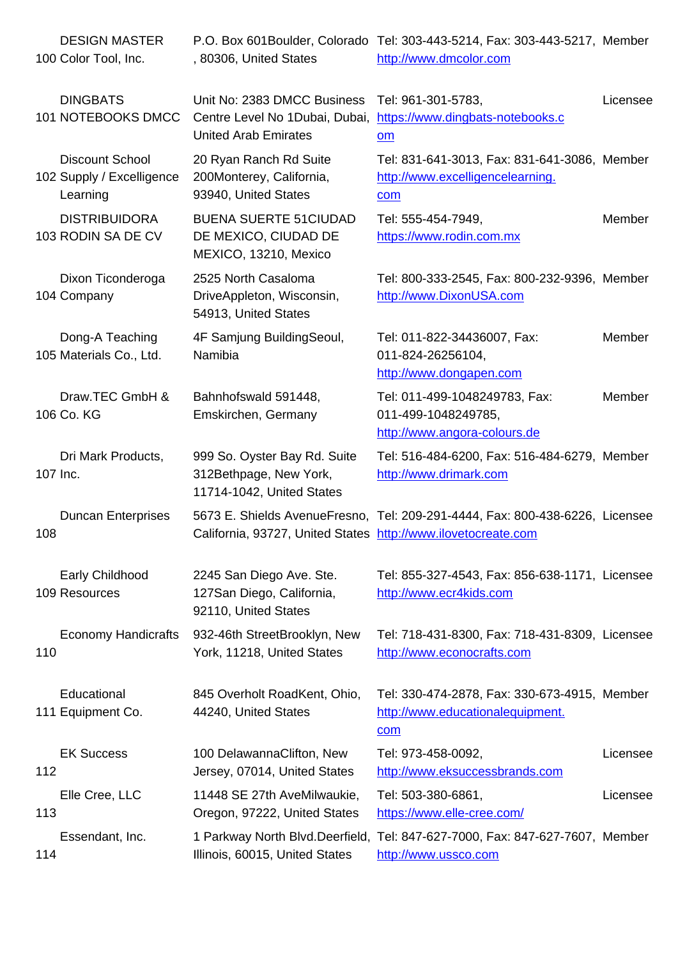|          | TUU COIOF TOOI, INC.                                            | , 80306, United States                                                                       | <u>http://www.arncolor.com</u>                                                                       |               |
|----------|-----------------------------------------------------------------|----------------------------------------------------------------------------------------------|------------------------------------------------------------------------------------------------------|---------------|
|          | <b>DINGBATS</b><br>101 NOTEBOOKS DMCC                           | Unit No: 2383 DMCC Business<br>Centre Level No 1Dubai, Dubai,<br><b>United Arab Emirates</b> | Tel: 961-301-5783,<br>https://www.dingbats-notebooks.c<br>$om$                                       | Licensee      |
|          | <b>Discount School</b><br>102 Supply / Excelligence<br>Learning | 20 Ryan Ranch Rd Suite<br>200Monterey, California,<br>93940, United States                   | Tel: 831-641-3013, Fax: 831-641-3086, Member<br>http://www.excelligencelearning.<br>com              |               |
|          | <b>DISTRIBUIDORA</b><br>103 RODIN SA DE CV                      | <b>BUENA SUERTE 51CIUDAD</b><br>DE MEXICO, CIUDAD DE<br>MEXICO, 13210, Mexico                | Tel: 555-454-7949,<br>https://www.rodin.com.mx                                                       | <b>Member</b> |
|          | Dixon Ticonderoga<br>104 Company                                | 2525 North Casaloma<br>DriveAppleton, Wisconsin,<br>54913, United States                     | Tel: 800-333-2545, Fax: 800-232-9396, Member<br>http://www.DixonUSA.com                              |               |
|          | Dong-A Teaching<br>105 Materials Co., Ltd.                      | 4F Samjung BuildingSeoul,<br>Namibia                                                         | Tel: 011-822-34436007, Fax:<br>011-824-26256104,<br>http://www.dongapen.com                          | Member        |
|          | Draw.TEC GmbH &<br>106 Co. KG                                   | Bahnhofswald 591448,<br>Emskirchen, Germany                                                  | Tel: 011-499-1048249783, Fax:<br>011-499-1048249785,<br>http://www.angora-colours.de                 | Member        |
| 107 Inc. | Dri Mark Products,                                              | 999 So. Oyster Bay Rd. Suite<br>312Bethpage, New York,<br>11714-1042, United States          | Tel: 516-484-6200, Fax: 516-484-6279, Member<br>http://www.drimark.com                               |               |
| 108      | <b>Duncan Enterprises</b>                                       | California, 93727, United States http://www.ilovetocreate.com                                | 5673 E. Shields AvenueFresno, Tel: 209-291-4444, Fax: 800-438-6226, Licensee                         |               |
|          | <b>Early Childhood</b><br>109 Resources                         | 2245 San Diego Ave. Ste.<br>127San Diego, California,<br>92110, United States                | Tel: 855-327-4543, Fax: 856-638-1171, Licensee<br>http://www.ecr4kids.com                            |               |
| 110      | <b>Economy Handicrafts</b>                                      | 932-46th StreetBrooklyn, New<br>York, 11218, United States                                   | Tel: 718-431-8300, Fax: 718-431-8309, Licensee<br>http://www.econocrafts.com                         |               |
|          | Educational<br>111 Equipment Co.                                | 845 Overholt RoadKent, Ohio,<br>44240, United States                                         | Tel: 330-474-2878, Fax: 330-673-4915, Member<br>http://www.educationalequipment.<br>com              |               |
| 112      | <b>EK Success</b>                                               | 100 DelawannaClifton, New<br>Jersey, 07014, United States                                    | Tel: 973-458-0092,<br>http://www.eksuccessbrands.com                                                 | Licensee      |
| 113      | Elle Cree, LLC                                                  | 11448 SE 27th AveMilwaukie,<br>Oregon, 97222, United States                                  | Tel: 503-380-6861,<br>https://www.elle-cree.com/                                                     | Licensee      |
| 114      | Essendant, Inc.                                                 | Illinois, 60015, United States                                                               | 1 Parkway North Blvd.Deerfield, Tel: 847-627-7000, Fax: 847-627-7607, Member<br>http://www.ussco.com |               |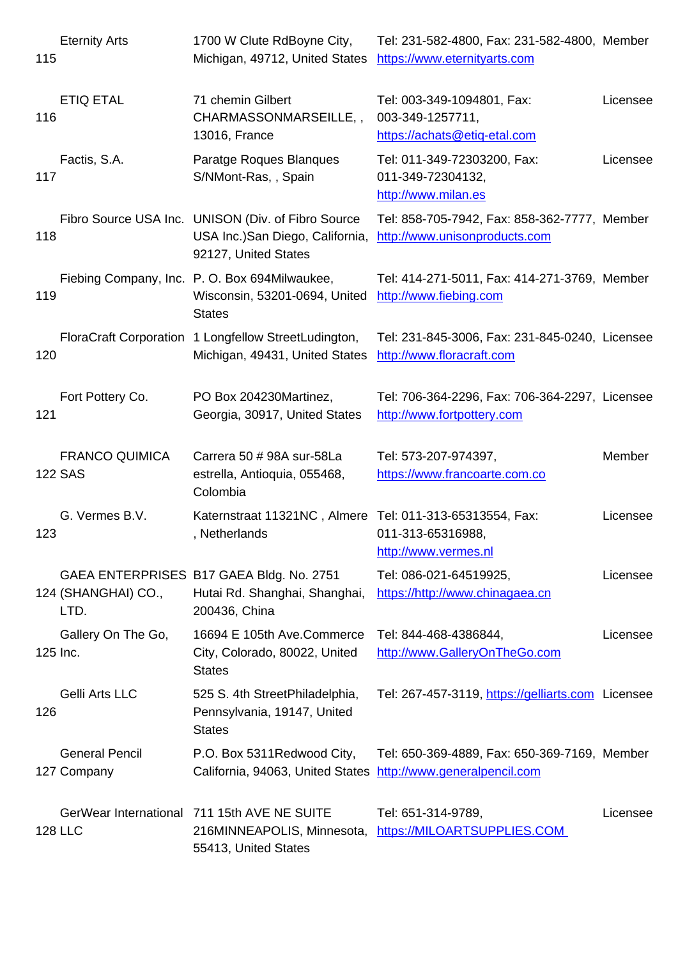| ााऽ |                                         | <u>Michigan, 49712, United States Intips://www.eternityarts.com</u>                                            |                                                                                |          |
|-----|-----------------------------------------|----------------------------------------------------------------------------------------------------------------|--------------------------------------------------------------------------------|----------|
| 116 | <b>ETIQ ETAL</b>                        | 71 chemin Gilbert<br>CHARMASSONMARSEILLE,,<br>13016, France                                                    | Tel: 003-349-1094801, Fax:<br>003-349-1257711,<br>https://achats@etiq-etal.com | Licensee |
| 117 | Factis, S.A.                            | Paratge Roques Blanques<br>S/NMont-Ras, , Spain                                                                | Tel: 011-349-72303200, Fax:<br>011-349-72304132,<br>http://www.milan.es        | Licensee |
| 118 |                                         | Fibro Source USA Inc. UNISON (Div. of Fibro Source<br>USA Inc.) San Diego, California,<br>92127, United States | Tel: 858-705-7942, Fax: 858-362-7777, Member<br>http://www.unisonproducts.com  |          |
| 119 |                                         | Fiebing Company, Inc. P.O. Box 694Milwaukee,<br>Wisconsin, 53201-0694, United<br><b>States</b>                 | Tel: 414-271-5011, Fax: 414-271-3769, Member<br>http://www.fiebing.com         |          |
| 120 |                                         | FloraCraft Corporation 1 Longfellow StreetLudington,<br>Michigan, 49431, United States                         | Tel: 231-845-3006, Fax: 231-845-0240, Licensee<br>http://www.floracraft.com    |          |
| 121 | Fort Pottery Co.                        | PO Box 204230Martinez,<br>Georgia, 30917, United States                                                        | Tel: 706-364-2296, Fax: 706-364-2297, Licensee<br>http://www.fortpottery.com   |          |
|     | <b>FRANCO QUIMICA</b><br><b>122 SAS</b> | Carrera 50 # 98A sur-58La<br>estrella, Antioquia, 055468,<br>Colombia                                          | Tel: 573-207-974397,<br>https://www.francoarte.com.co                          | Member   |
| 123 | G. Vermes B.V.                          | Katernstraat 11321NC, Almere Tel: 011-313-65313554, Fax:<br>, Netherlands                                      | 011-313-65316988,<br>http://www.vermes.nl                                      | Licensee |
|     | 124 (SHANGHAI) CO.,<br>LTD.             | GAEA ENTERPRISES B17 GAEA Bldg. No. 2751<br>Hutai Rd. Shanghai, Shanghai,<br>200436, China                     | Tel: 086-021-64519925,<br>https://http://www.chinagaea.cn                      | Licensee |
|     | Gallery On The Go,<br>125 Inc.          | 16694 E 105th Ave.Commerce<br>City, Colorado, 80022, United<br><b>States</b>                                   | Tel: 844-468-4386844,<br>http://www.GalleryOnTheGo.com                         | Licensee |
| 126 | Gelli Arts LLC                          | 525 S. 4th StreetPhiladelphia,<br>Pennsylvania, 19147, United<br><b>States</b>                                 | Tel: 267-457-3119, https://gelliarts.com Licensee                              |          |
|     | <b>General Pencil</b><br>127 Company    | P.O. Box 5311Redwood City,<br>California, 94063, United States http://www.generalpencil.com                    | Tel: 650-369-4889, Fax: 650-369-7169, Member                                   |          |
|     | <b>128 LLC</b>                          | GerWear International 711 15th AVE NE SUITE<br>216MINNEAPOLIS, Minnesota,<br>55413, United States              | Tel: 651-314-9789,<br>https://MILOARTSUPPLIES.COM                              | Licensee |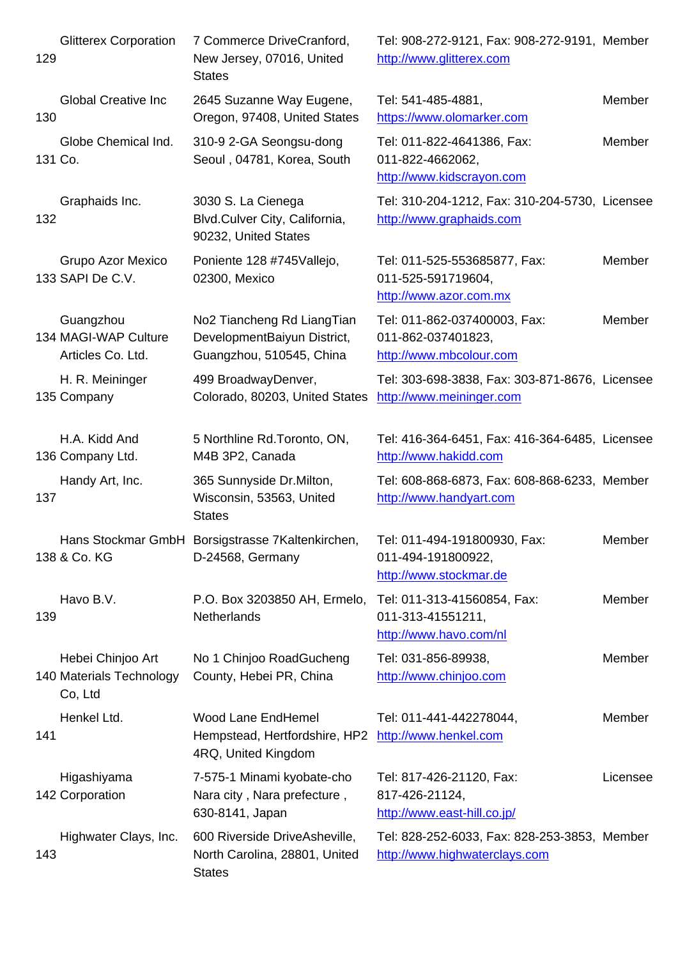| 1Z9 |                                                          | INEW JEISEY, U7UT6, UNITED<br><b>States</b>                                           | nttp://www.glitterex.com                                                      |          |
|-----|----------------------------------------------------------|---------------------------------------------------------------------------------------|-------------------------------------------------------------------------------|----------|
| 130 | <b>Global Creative Inc</b>                               | 2645 Suzanne Way Eugene,<br>Oregon, 97408, United States                              | Tel: 541-485-4881,<br>https://www.olomarker.com                               | Member   |
|     | Globe Chemical Ind.<br>131 Co.                           | 310-9 2-GA Seongsu-dong<br>Seoul, 04781, Korea, South                                 | Tel: 011-822-4641386, Fax:<br>011-822-4662062,<br>http://www.kidscrayon.com   | Member   |
| 132 | Graphaids Inc.                                           | 3030 S. La Cienega<br>Blvd.Culver City, California,<br>90232, United States           | Tel: 310-204-1212, Fax: 310-204-5730, Licensee<br>http://www.graphaids.com    |          |
|     | Grupo Azor Mexico<br>133 SAPI De C.V.                    | Poniente 128 #745Vallejo,<br>02300, Mexico                                            | Tel: 011-525-553685877, Fax:<br>011-525-591719604,<br>http://www.azor.com.mx  | Member   |
|     | Guangzhou<br>134 MAGI-WAP Culture<br>Articles Co. Ltd.   | No2 Tiancheng Rd LiangTian<br>DevelopmentBaiyun District,<br>Guangzhou, 510545, China | Tel: 011-862-037400003, Fax:<br>011-862-037401823,<br>http://www.mbcolour.com | Member   |
|     | H. R. Meininger<br>135 Company                           | 499 BroadwayDenver,<br>Colorado, 80203, United States                                 | Tel: 303-698-3838, Fax: 303-871-8676, Licensee<br>http://www.meininger.com    |          |
|     | H.A. Kidd And<br>136 Company Ltd.                        | 5 Northline Rd. Toronto, ON,<br>M4B 3P2, Canada                                       | Tel: 416-364-6451, Fax: 416-364-6485, Licensee<br>http://www.hakidd.com       |          |
| 137 | Handy Art, Inc.                                          | 365 Sunnyside Dr. Milton,<br>Wisconsin, 53563, United<br><b>States</b>                | Tel: 608-868-6873, Fax: 608-868-6233, Member<br>http://www.handyart.com       |          |
|     | 138 & Co. KG                                             | Hans Stockmar GmbH Borsigstrasse 7Kaltenkirchen,<br>D-24568, Germany                  | Tel: 011-494-191800930, Fax:<br>011-494-191800922,<br>http://www.stockmar.de  | Member   |
| 139 | Havo B.V.                                                | P.O. Box 3203850 AH, Ermelo,<br>Netherlands                                           | Tel: 011-313-41560854, Fax:<br>011-313-41551211,<br>http://www.havo.com/nl    | Member   |
|     | Hebei Chinjoo Art<br>140 Materials Technology<br>Co, Ltd | No 1 Chinjoo RoadGucheng<br>County, Hebei PR, China                                   | Tel: 031-856-89938,<br>http://www.chinjoo.com                                 | Member   |
| 141 | Henkel Ltd.                                              | Wood Lane EndHemel<br>Hempstead, Hertfordshire, HP2<br>4RQ, United Kingdom            | Tel: 011-441-442278044,<br>http://www.henkel.com                              | Member   |
|     | Higashiyama<br>142 Corporation                           | 7-575-1 Minami kyobate-cho<br>Nara city, Nara prefecture,<br>630-8141, Japan          | Tel: 817-426-21120, Fax:<br>817-426-21124,<br>http://www.east-hill.co.jp/     | Licensee |
| 143 | Highwater Clays, Inc.                                    | 600 Riverside DriveAsheville,<br>North Carolina, 28801, United<br><b>States</b>       | Tel: 828-252-6033, Fax: 828-253-3853, Member<br>http://www.highwaterclays.com |          |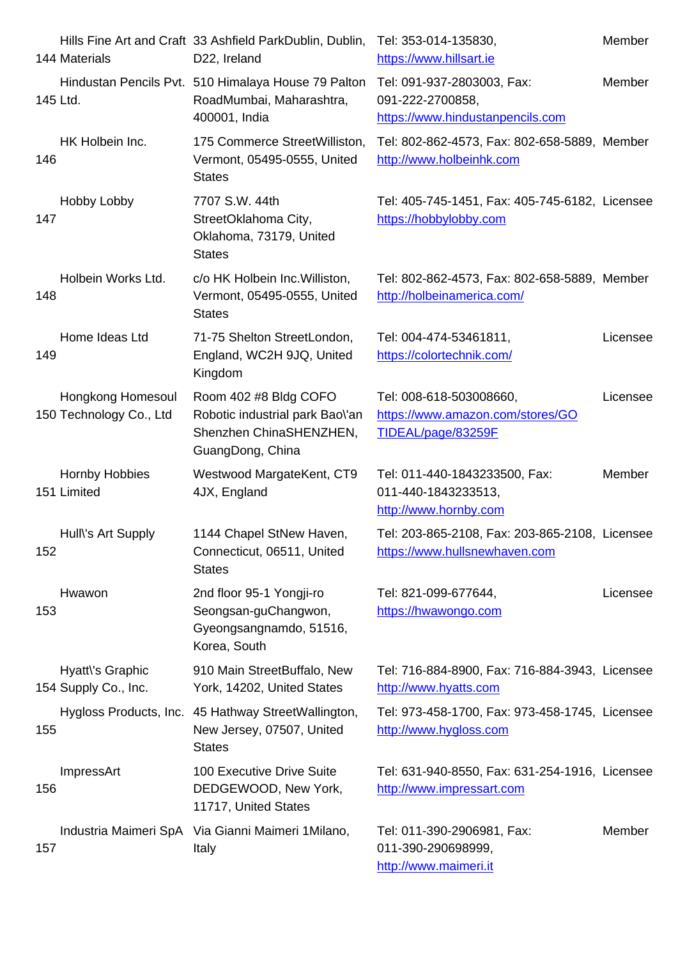|     | <u>144 Materiais</u>                         | DZZ, ireiand                                                                                            | nttps://www.nilisart.le                                                            |          |
|-----|----------------------------------------------|---------------------------------------------------------------------------------------------------------|------------------------------------------------------------------------------------|----------|
|     | 145 Ltd.                                     | Hindustan Pencils Pvt. 510 Himalaya House 79 Palton<br>RoadMumbai, Maharashtra,<br>400001, India        | Tel: 091-937-2803003, Fax:<br>091-222-2700858,<br>https://www.hindustanpencils.com | Member   |
| 146 | HK Holbein Inc.                              | 175 Commerce StreetWilliston,<br>Vermont, 05495-0555, United<br><b>States</b>                           | Tel: 802-862-4573, Fax: 802-658-5889, Member<br>http://www.holbeinhk.com           |          |
| 147 | Hobby Lobby                                  | 7707 S.W. 44th<br>StreetOklahoma City,<br>Oklahoma, 73179, United<br><b>States</b>                      | Tel: 405-745-1451, Fax: 405-745-6182, Licensee<br>https://hobbylobby.com           |          |
| 148 | Holbein Works Ltd.                           | c/o HK Holbein Inc. Williston,<br>Vermont, 05495-0555, United<br><b>States</b>                          | Tel: 802-862-4573, Fax: 802-658-5889, Member<br>http://holbeinamerica.com/         |          |
| 149 | Home Ideas Ltd                               | 71-75 Shelton StreetLondon,<br>England, WC2H 9JQ, United<br>Kingdom                                     | Tel: 004-474-53461811,<br>https://colortechnik.com/                                | Licensee |
|     | Hongkong Homesoul<br>150 Technology Co., Ltd | Room 402 #8 Bldg COFO<br>Robotic industrial park Bao\'an<br>Shenzhen ChinaSHENZHEN,<br>GuangDong, China | Tel: 008-618-503008660,<br>https://www.amazon.com/stores/GO<br>TIDEAL/page/83259F  | Licensee |
|     | Hornby Hobbies<br>151 Limited                | Westwood MargateKent, CT9<br>4JX, England                                                               | Tel: 011-440-1843233500, Fax:<br>011-440-1843233513,<br>http://www.hornby.com      | Member   |
| 152 | Hull\'s Art Supply                           | 1144 Chapel StNew Haven,<br>Connecticut, 06511, United<br><b>States</b>                                 | Tel: 203-865-2108, Fax: 203-865-2108, Licensee<br>https://www.hullsnewhaven.com    |          |
| 153 | Hwawon                                       | 2nd floor 95-1 Yongji-ro<br>Seongsan-guChangwon,<br>Gyeongsangnamdo, 51516,<br>Korea, South             | Tel: 821-099-677644,<br>https://hwawongo.com                                       | Licensee |
|     | Hyatt\'s Graphic<br>154 Supply Co., Inc.     | 910 Main StreetBuffalo, New<br>York, 14202, United States                                               | Tel: 716-884-8900, Fax: 716-884-3943, Licensee<br>http://www.hyatts.com            |          |
| 155 | Hygloss Products, Inc.                       | 45 Hathway StreetWallington,<br>New Jersey, 07507, United<br><b>States</b>                              | Tel: 973-458-1700, Fax: 973-458-1745, Licensee<br>http://www.hygloss.com           |          |
| 156 | ImpressArt                                   | 100 Executive Drive Suite<br>DEDGEWOOD, New York,<br>11717, United States                               | Tel: 631-940-8550, Fax: 631-254-1916, Licensee<br>http://www.impressart.com        |          |
| 157 |                                              | Industria Maimeri SpA Via Gianni Maimeri 1 Milano,<br>Italy                                             | Tel: 011-390-2906981, Fax:<br>011-390-290698999,<br>http://www.maimeri.it          | Member   |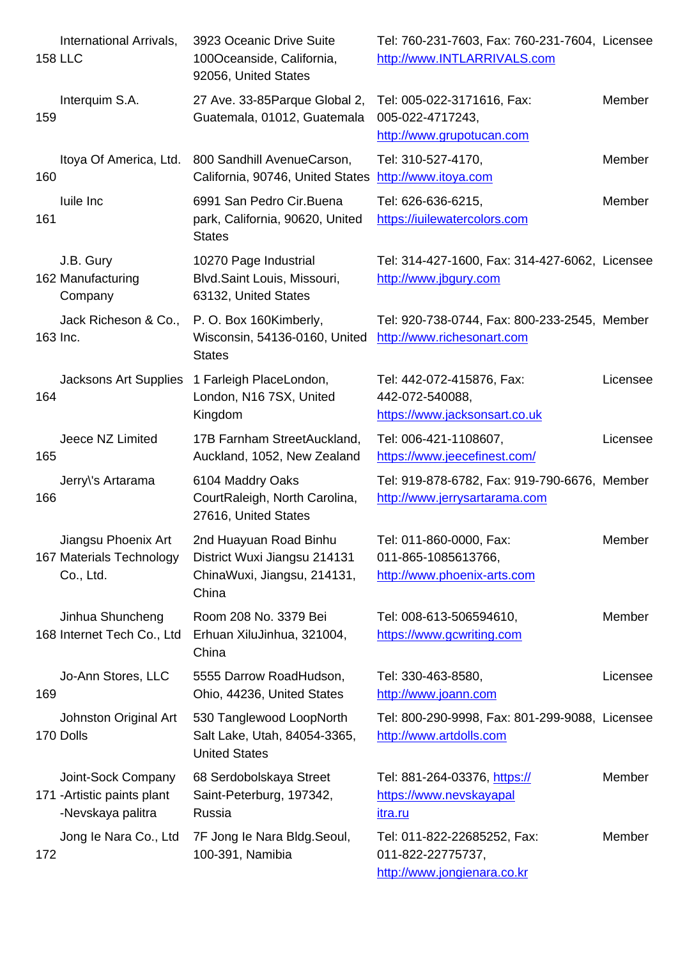|     | 158 LLU                                                                | TUUUCeanside, California,<br>92056, United States                                              | <u>NUD://WWW.INTLARRIVALS.com</u>                                               |          |
|-----|------------------------------------------------------------------------|------------------------------------------------------------------------------------------------|---------------------------------------------------------------------------------|----------|
| 159 | Interquim S.A.                                                         | 27 Ave. 33-85 Parque Global 2,<br>Guatemala, 01012, Guatemala                                  | Tel: 005-022-3171616, Fax:<br>005-022-4717243,<br>http://www.grupotucan.com     | Member   |
| 160 | Itoya Of America, Ltd.                                                 | 800 Sandhill AvenueCarson,<br>California, 90746, United States                                 | Tel: 310-527-4170,<br>http://www.itoya.com                                      | Member   |
| 161 | luile Inc                                                              | 6991 San Pedro Cir. Buena<br>park, California, 90620, United<br><b>States</b>                  | Tel: 626-636-6215,<br>https://iuilewatercolors.com                              | Member   |
|     | J.B. Gury<br>162 Manufacturing<br>Company                              | 10270 Page Industrial<br>Blvd.Saint Louis, Missouri,<br>63132, United States                   | Tel: 314-427-1600, Fax: 314-427-6062, Licensee<br>http://www.jbgury.com         |          |
|     | Jack Richeson & Co.,<br>163 Inc.                                       | P. O. Box 160Kimberly,<br>Wisconsin, 54136-0160, United<br><b>States</b>                       | Tel: 920-738-0744, Fax: 800-233-2545, Member<br>http://www.richesonart.com      |          |
| 164 | <b>Jacksons Art Supplies</b>                                           | 1 Farleigh PlaceLondon,<br>London, N16 7SX, United<br>Kingdom                                  | Tel: 442-072-415876, Fax:<br>442-072-540088,<br>https://www.jacksonsart.co.uk   | Licensee |
| 165 | Jeece NZ Limited                                                       | 17B Farnham StreetAuckland,<br>Auckland, 1052, New Zealand                                     | Tel: 006-421-1108607,<br>https://www.jeecefinest.com/                           | Licensee |
| 166 | Jerry\'s Artarama                                                      | 6104 Maddry Oaks<br>CourtRaleigh, North Carolina,<br>27616, United States                      | Tel: 919-878-6782, Fax: 919-790-6676, Member<br>http://www.jerrysartarama.com   |          |
|     | Jiangsu Phoenix Art<br>167 Materials Technology<br>Co., Ltd.           | 2nd Huayuan Road Binhu<br>District Wuxi Jiangsu 214131<br>ChinaWuxi, Jiangsu, 214131,<br>China | Tel: 011-860-0000, Fax:<br>011-865-1085613766,<br>http://www.phoenix-arts.com   | Member   |
|     | Jinhua Shuncheng<br>168 Internet Tech Co., Ltd                         | Room 208 No. 3379 Bei<br>Erhuan XiluJinhua, 321004,<br>China                                   | Tel: 008-613-506594610,<br>https://www.gcwriting.com                            | Member   |
| 169 | Jo-Ann Stores, LLC                                                     | 5555 Darrow RoadHudson,<br>Ohio, 44236, United States                                          | Tel: 330-463-8580,<br>http://www.joann.com                                      | Licensee |
|     | Johnston Original Art<br>170 Dolls                                     | 530 Tanglewood LoopNorth<br>Salt Lake, Utah, 84054-3365,<br><b>United States</b>               | Tel: 800-290-9998, Fax: 801-299-9088, Licensee<br>http://www.artdolls.com       |          |
|     | Joint-Sock Company<br>171 - Artistic paints plant<br>-Nevskaya palitra | 68 Serdobolskaya Street<br>Saint-Peterburg, 197342,<br>Russia                                  | Tel: 881-264-03376, https://<br>https://www.nevskayapal<br><u>itra.ru</u>       | Member   |
| 172 | Jong le Nara Co., Ltd                                                  | 7F Jong le Nara Bldg. Seoul,<br>100-391, Namibia                                               | Tel: 011-822-22685252, Fax:<br>011-822-22775737,<br>http://www.jongienara.co.kr | Member   |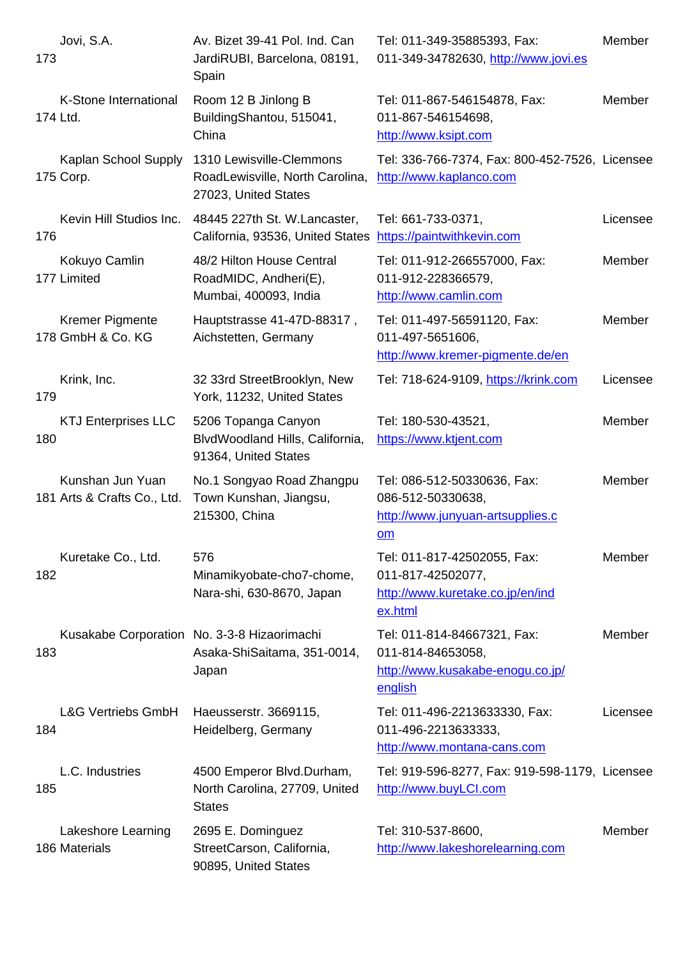| 773 |                                                 | JardiRUBI, Barcelona, 08191,<br>Spain                                               | UTT-349-34782030, <u>http://www.jovi.es</u>                                                     |          |
|-----|-------------------------------------------------|-------------------------------------------------------------------------------------|-------------------------------------------------------------------------------------------------|----------|
|     | K-Stone International<br>174 Ltd.               | Room 12 B Jinlong B<br>BuildingShantou, 515041,<br>China                            | Tel: 011-867-546154878, Fax:<br>011-867-546154698,<br>http://www.ksipt.com                      | Member   |
|     | Kaplan School Supply<br>175 Corp.               | 1310 Lewisville-Clemmons<br>RoadLewisville, North Carolina,<br>27023, United States | Tel: 336-766-7374, Fax: 800-452-7526, Licensee<br>http://www.kaplanco.com                       |          |
| 176 | Kevin Hill Studios Inc.                         | 48445 227th St. W.Lancaster,<br>California, 93536, United States                    | Tel: 661-733-0371,<br>https://paintwithkevin.com                                                | Licensee |
|     | Kokuyo Camlin<br>177 Limited                    | 48/2 Hilton House Central<br>RoadMIDC, Andheri(E),<br>Mumbai, 400093, India         | Tel: 011-912-266557000, Fax:<br>011-912-228366579,<br>http://www.camlin.com                     | Member   |
|     | <b>Kremer Pigmente</b><br>178 GmbH & Co. KG     | Hauptstrasse 41-47D-88317,<br>Aichstetten, Germany                                  | Tel: 011-497-56591120, Fax:<br>011-497-5651606,<br>http://www.kremer-pigmente.de/en             | Member   |
| 179 | Krink, Inc.                                     | 32 33rd StreetBrooklyn, New<br>York, 11232, United States                           | Tel: 718-624-9109, https://krink.com                                                            | Licensee |
| 180 | <b>KTJ Enterprises LLC</b>                      | 5206 Topanga Canyon<br>BlvdWoodland Hills, California,<br>91364, United States      | Tel: 180-530-43521,<br>https://www.ktjent.com                                                   | Member   |
|     | Kunshan Jun Yuan<br>181 Arts & Crafts Co., Ltd. | No.1 Songyao Road Zhangpu<br>Town Kunshan, Jiangsu,<br>215300, China                | Tel: 086-512-50330636, Fax:<br>086-512-50330638,<br>http://www.junyuan-artsupplies.c<br>om      | Member   |
| 182 | Kuretake Co., Ltd.                              | 576<br>Minamikyobate-cho7-chome,<br>Nara-shi, 630-8670, Japan                       | Tel: 011-817-42502055, Fax:<br>011-817-42502077,<br>http://www.kuretake.co.jp/en/ind<br>ex.html | Member   |
| 183 |                                                 | Kusakabe Corporation No. 3-3-8 Hizaorimachi<br>Asaka-ShiSaitama, 351-0014,<br>Japan | Tel: 011-814-84667321, Fax:<br>011-814-84653058,<br>http://www.kusakabe-enogu.co.jp/<br>english | Member   |
| 184 | <b>L&amp;G Vertriebs GmbH</b>                   | Haeusserstr. 3669115,<br>Heidelberg, Germany                                        | Tel: 011-496-2213633330, Fax:<br>011-496-2213633333,<br>http://www.montana-cans.com             | Licensee |
| 185 | L.C. Industries                                 | 4500 Emperor Blvd.Durham,<br>North Carolina, 27709, United<br><b>States</b>         | Tel: 919-596-8277, Fax: 919-598-1179, Licensee<br>http://www.buyLCI.com                         |          |
|     | Lakeshore Learning<br>186 Materials             | 2695 E. Dominguez<br>StreetCarson, California,<br>90895, United States              | Tel: 310-537-8600,<br>http://www.lakeshorelearning.com                                          | Member   |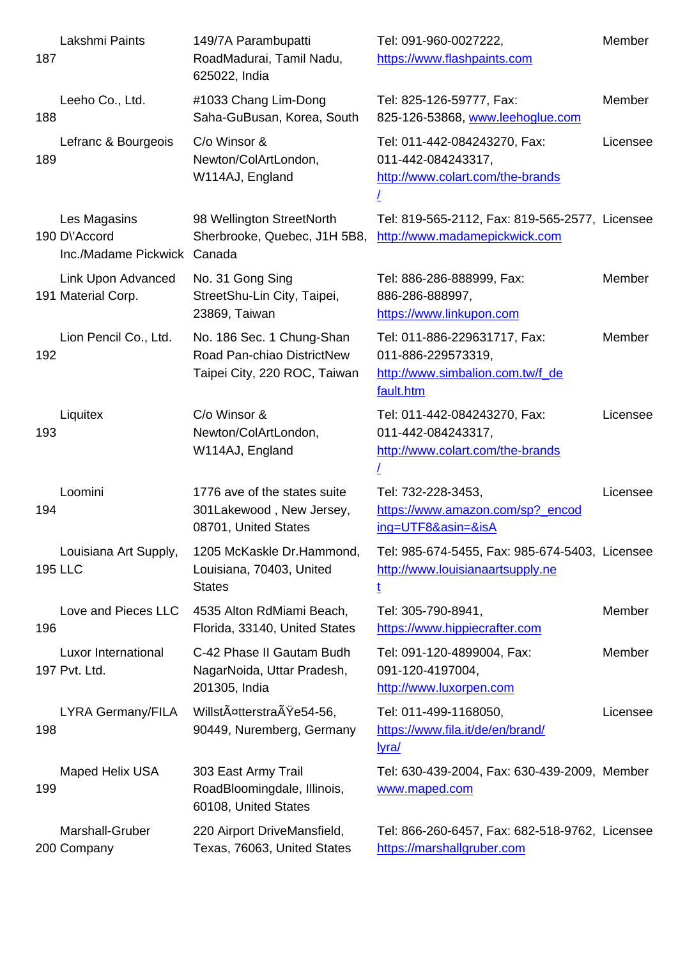| ाठा |                                                              | Roadiviadural, Tamil Nadu,<br>625022, India                                             | nttps://www.flashpaints.com                                                                         |          |
|-----|--------------------------------------------------------------|-----------------------------------------------------------------------------------------|-----------------------------------------------------------------------------------------------------|----------|
| 188 | Leeho Co., Ltd.                                              | #1033 Chang Lim-Dong<br>Saha-GuBusan, Korea, South                                      | Tel: 825-126-59777, Fax:<br>825-126-53868, www.leehoglue.com                                        | Member   |
| 189 | Lefranc & Bourgeois                                          | C/o Winsor &<br>Newton/ColArtLondon,<br>W114AJ, England                                 | Tel: 011-442-084243270, Fax:<br>011-442-084243317,<br>http://www.colart.com/the-brands              | Licensee |
|     | Les Magasins<br>190 D\'Accord<br>Inc./Madame Pickwick Canada | 98 Wellington StreetNorth<br>Sherbrooke, Quebec, J1H 5B8,                               | Tel: 819-565-2112, Fax: 819-565-2577, Licensee<br>http://www.madamepickwick.com                     |          |
|     | Link Upon Advanced<br>191 Material Corp.                     | No. 31 Gong Sing<br>StreetShu-Lin City, Taipei,<br>23869, Taiwan                        | Tel: 886-286-888999, Fax:<br>886-286-888997,<br>https://www.linkupon.com                            | Member   |
| 192 | Lion Pencil Co., Ltd.                                        | No. 186 Sec. 1 Chung-Shan<br>Road Pan-chiao DistrictNew<br>Taipei City, 220 ROC, Taiwan | Tel: 011-886-229631717, Fax:<br>011-886-229573319,<br>http://www.simbalion.com.tw/f de<br>fault.htm | Member   |
| 193 | Liquitex                                                     | C/o Winsor &<br>Newton/ColArtLondon,<br>W114AJ, England                                 | Tel: 011-442-084243270, Fax:<br>011-442-084243317,<br>http://www.colart.com/the-brands              | Licensee |
| 194 | Loomini                                                      | 1776 ave of the states suite<br>301Lakewood, New Jersey,<br>08701, United States        | Tel: 732-228-3453,<br>https://www.amazon.com/sp?_encod<br>ing=UTF8&asin=&isA                        | Licensee |
|     | Louisiana Art Supply,<br><b>195 LLC</b>                      | 1205 McKaskle Dr.Hammond,<br>Louisiana, 70403, United<br><b>States</b>                  | Tel: 985-674-5455, Fax: 985-674-5403, Licensee<br>http://www.louisianaartsupply.ne<br>ţ             |          |
| 196 | Love and Pieces LLC                                          | 4535 Alton RdMiami Beach,<br>Florida, 33140, United States                              | Tel: 305-790-8941,<br>https://www.hippiecrafter.com                                                 | Member   |
|     | Luxor International<br>197 Pvt. Ltd.                         | C-42 Phase II Gautam Budh<br>NagarNoida, Uttar Pradesh,<br>201305, India                | Tel: 091-120-4899004, Fax:<br>091-120-4197004,<br>http://www.luxorpen.com                           | Member   |
| 198 | <b>LYRA Germany/FILA</b>                                     | WillstA¤tterstraAYe54-56,<br>90449, Nuremberg, Germany                                  | Tel: 011-499-1168050,<br>https://www.fila.it/de/en/brand/<br><u>lyra/</u>                           | Licensee |
| 199 | Maped Helix USA                                              | 303 East Army Trail<br>RoadBloomingdale, Illinois,<br>60108, United States              | Tel: 630-439-2004, Fax: 630-439-2009, Member<br>www.maped.com                                       |          |
|     | Marshall-Gruber<br>200 Company                               | 220 Airport DriveMansfield,<br>Texas, 76063, United States                              | Tel: 866-260-6457, Fax: 682-518-9762, Licensee<br>https://marshallgruber.com                        |          |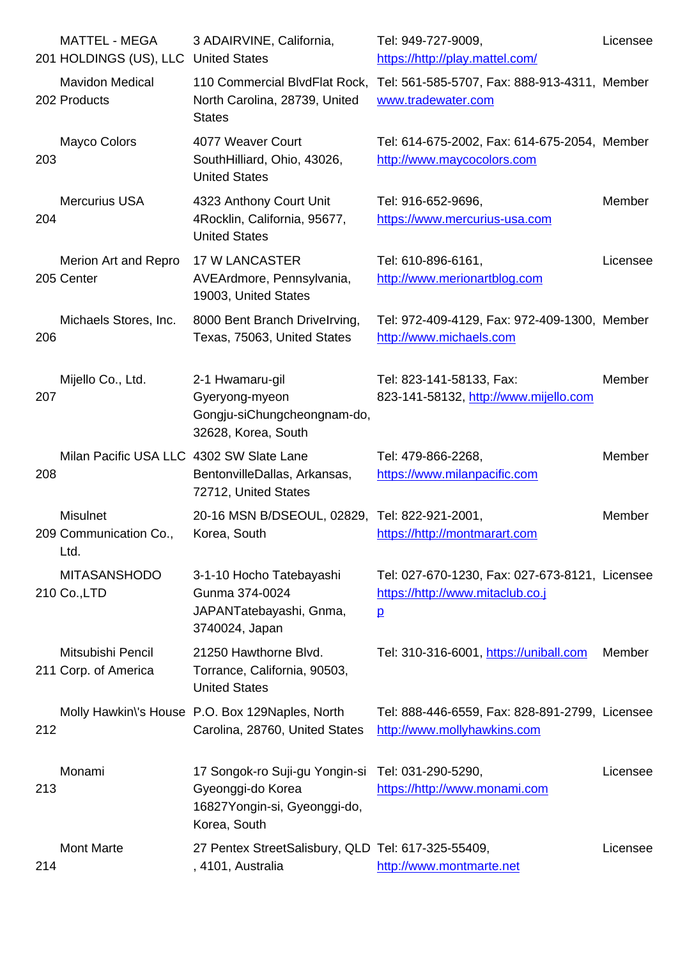|     | <b>201 HOLDINGS (US), LLC UNITED STATES</b>       |                                                                                                     | nttps://nttp://play.mattel.com/                                                                      |          |
|-----|---------------------------------------------------|-----------------------------------------------------------------------------------------------------|------------------------------------------------------------------------------------------------------|----------|
|     | <b>Mavidon Medical</b><br>202 Products            | North Carolina, 28739, United<br><b>States</b>                                                      | 110 Commercial BlvdFlat Rock, Tel: 561-585-5707, Fax: 888-913-4311, Member<br>www.tradewater.com     |          |
| 203 | Mayco Colors                                      | 4077 Weaver Court<br>SouthHilliard, Ohio, 43026,<br><b>United States</b>                            | Tel: 614-675-2002, Fax: 614-675-2054, Member<br>http://www.maycocolors.com                           |          |
| 204 | <b>Mercurius USA</b>                              | 4323 Anthony Court Unit<br>4Rocklin, California, 95677,<br><b>United States</b>                     | Tel: 916-652-9696,<br>https://www.mercurius-usa.com                                                  | Member   |
|     | Merion Art and Repro<br>205 Center                | <b>17 W LANCASTER</b><br>AVEArdmore, Pennsylvania,<br>19003, United States                          | Tel: 610-896-6161,<br>http://www.merionartblog.com                                                   | Licensee |
| 206 | Michaels Stores, Inc.                             | 8000 Bent Branch Drivelrving,<br>Texas, 75063, United States                                        | Tel: 972-409-4129, Fax: 972-409-1300, Member<br>http://www.michaels.com                              |          |
| 207 | Mijello Co., Ltd.                                 | 2-1 Hwamaru-gil<br>Gyeryong-myeon<br>Gongju-siChungcheongnam-do,<br>32628, Korea, South             | Tel: 823-141-58133, Fax:<br>823-141-58132, http://www.mijello.com                                    | Member   |
| 208 | Milan Pacific USA LLC 4302 SW Slate Lane          | BentonvilleDallas, Arkansas,<br>72712, United States                                                | Tel: 479-866-2268,<br>https://www.milanpacific.com                                                   | Member   |
|     | <b>Misulnet</b><br>209 Communication Co.,<br>Ltd. | 20-16 MSN B/DSEOUL, 02829, Tel: 822-921-2001,<br>Korea, South                                       | https://http://montmarart.com                                                                        | Member   |
|     | <b>MITASANSHODO</b><br>210 Co., LTD               | 3-1-10 Hocho Tatebayashi<br>Gunma 374-0024<br>JAPANTatebayashi, Gnma,<br>3740024, Japan             | Tel: 027-670-1230, Fax: 027-673-8121, Licensee<br>https://http://www.mitaclub.co.j<br>$\overline{p}$ |          |
|     | Mitsubishi Pencil<br>211 Corp. of America         | 21250 Hawthorne Blvd.<br>Torrance, California, 90503,<br><b>United States</b>                       | Tel: 310-316-6001, https://uniball.com                                                               | Member   |
| 212 |                                                   | Molly Hawkin's House P.O. Box 129Naples, North<br>Carolina, 28760, United States                    | Tel: 888-446-6559, Fax: 828-891-2799, Licensee<br>http://www.mollyhawkins.com                        |          |
| 213 | Monami                                            | 17 Songok-ro Suji-gu Yongin-si<br>Gyeonggi-do Korea<br>16827Yongin-si, Gyeonggi-do,<br>Korea, South | Tel: 031-290-5290,<br>https://http://www.monami.com                                                  | Licensee |
| 214 | <b>Mont Marte</b>                                 | 27 Pentex StreetSalisbury, QLD Tel: 617-325-55409,<br>, 4101, Australia                             | http://www.montmarte.net                                                                             | Licensee |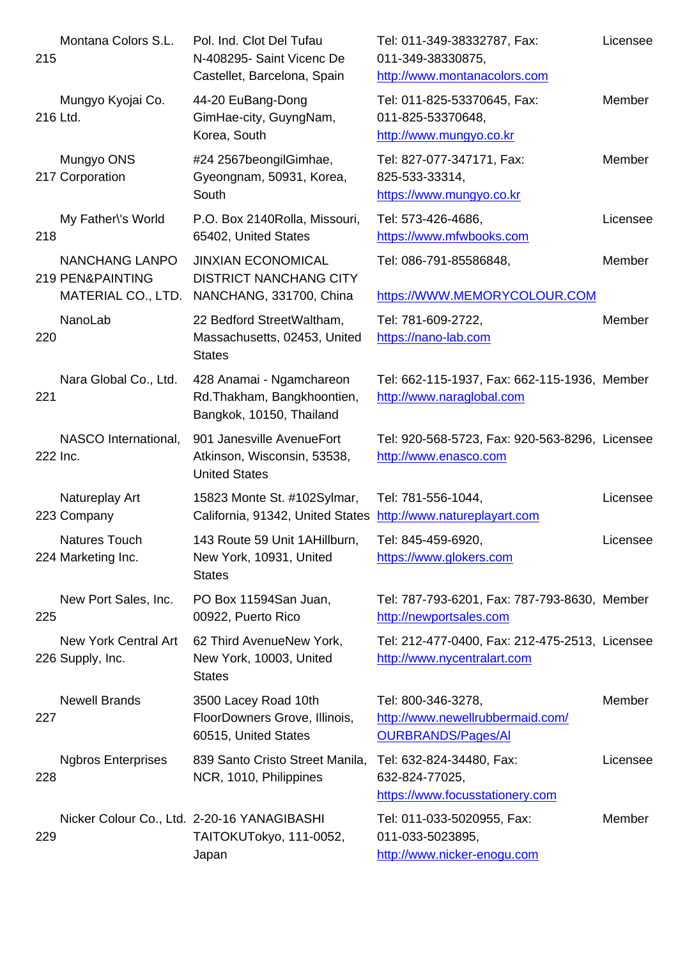| סו∠ |                                                                            | N-408295- Saint Vicenc De<br>Castellet, Barcelona, Spain                              | UTT-349-38330875,<br>http://www.montanacolors.com                                   |          |
|-----|----------------------------------------------------------------------------|---------------------------------------------------------------------------------------|-------------------------------------------------------------------------------------|----------|
|     | Mungyo Kyojai Co.<br>216 Ltd.                                              | 44-20 EuBang-Dong<br>GimHae-city, GuyngNam,<br>Korea, South                           | Tel: 011-825-53370645, Fax:<br>011-825-53370648,<br>http://www.mungyo.co.kr         | Member   |
|     | Mungyo ONS<br>217 Corporation                                              | #24 2567beongilGimhae,<br>Gyeongnam, 50931, Korea,<br>South                           | Tel: 827-077-347171, Fax:<br>825-533-33314,<br>https://www.mungyo.co.kr             | Member   |
| 218 | My Father\'s World                                                         | P.O. Box 2140Rolla, Missouri,<br>65402, United States                                 | Tel: 573-426-4686,<br>https://www.mfwbooks.com                                      | Licensee |
|     | <b>NANCHANG LANPO</b><br><b>219 PEN&amp;PAINTING</b><br>MATERIAL CO., LTD. | <b>JINXIAN ECONOMICAL</b><br><b>DISTRICT NANCHANG CITY</b><br>NANCHANG, 331700, China | Tel: 086-791-85586848,<br>https://WWW.MEMORYCOLOUR.COM                              | Member   |
| 220 | NanoLab                                                                    | 22 Bedford StreetWaltham,<br>Massachusetts, 02453, United<br><b>States</b>            | Tel: 781-609-2722,<br>https://nano-lab.com                                          | Member   |
| 221 | Nara Global Co., Ltd.                                                      | 428 Anamai - Ngamchareon<br>Rd.Thakham, Bangkhoontien,<br>Bangkok, 10150, Thailand    | Tel: 662-115-1937, Fax: 662-115-1936, Member<br>http://www.naraglobal.com           |          |
|     | NASCO International,<br>222 Inc.                                           | 901 Janesville AvenueFort<br>Atkinson, Wisconsin, 53538,<br><b>United States</b>      | Tel: 920-568-5723, Fax: 920-563-8296, Licensee<br>http://www.enasco.com             |          |
|     | Natureplay Art<br>223 Company                                              | 15823 Monte St. #102Sylmar,<br>California, 91342, United States                       | Tel: 781-556-1044,<br>http://www.natureplayart.com                                  | Licensee |
|     | Natures Touch<br>224 Marketing Inc.                                        | 143 Route 59 Unit 1AHillburn,<br>New York, 10931, United<br><b>States</b>             | Tel: 845-459-6920,<br>https://www.glokers.com                                       | Licensee |
| 225 | New Port Sales, Inc.                                                       | PO Box 11594San Juan,<br>00922, Puerto Rico                                           | Tel: 787-793-6201, Fax: 787-793-8630, Member<br>http://newportsales.com             |          |
|     | New York Central Art<br>226 Supply, Inc.                                   | 62 Third AvenueNew York,<br>New York, 10003, United<br><b>States</b>                  | Tel: 212-477-0400, Fax: 212-475-2513, Licensee<br>http://www.nycentralart.com       |          |
| 227 | <b>Newell Brands</b>                                                       | 3500 Lacey Road 10th<br>FloorDowners Grove, Illinois,<br>60515, United States         | Tel: 800-346-3278,<br>http://www.newellrubbermaid.com/<br><b>OURBRANDS/Pages/AI</b> | Member   |
| 228 | <b>Ngbros Enterprises</b>                                                  | 839 Santo Cristo Street Manila,<br>NCR, 1010, Philippines                             | Tel: 632-824-34480, Fax:<br>632-824-77025,<br>https://www.focusstationery.com       | Licensee |
| 229 |                                                                            | Nicker Colour Co., Ltd. 2-20-16 YANAGIBASHI<br>TAITOKUTokyo, 111-0052,<br>Japan       | Tel: 011-033-5020955, Fax:<br>011-033-5023895,<br>http://www.nicker-enogu.com       | Member   |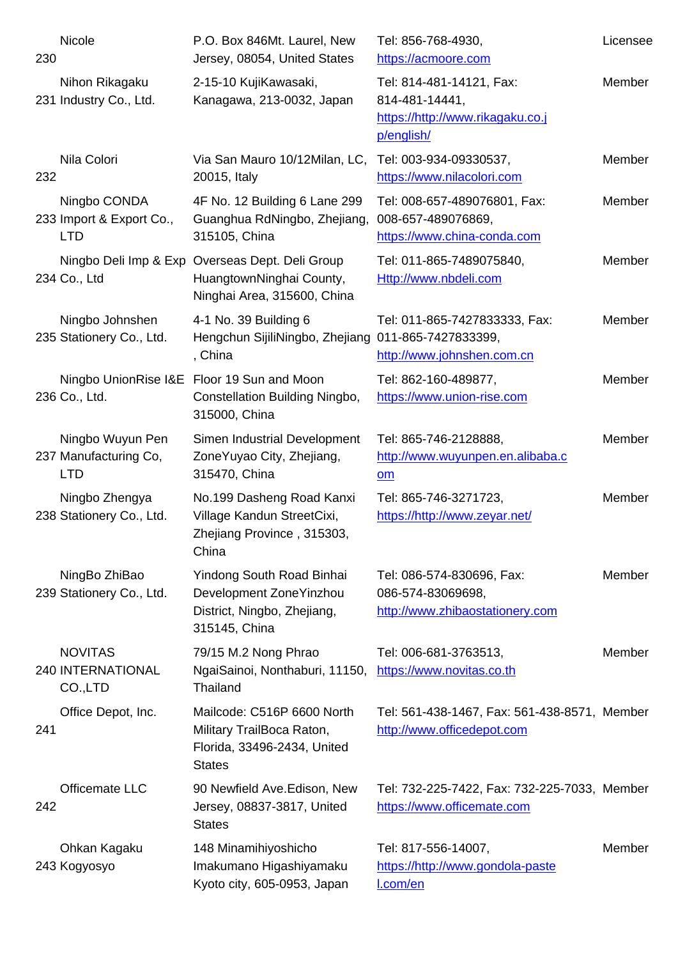| zou |                                                         | Jersey, 08054, United States                                                                               | nups://acmoore.com                                                                           |               |
|-----|---------------------------------------------------------|------------------------------------------------------------------------------------------------------------|----------------------------------------------------------------------------------------------|---------------|
|     | Nihon Rikagaku<br>231 Industry Co., Ltd.                | 2-15-10 KujiKawasaki,<br>Kanagawa, 213-0032, Japan                                                         | Tel: 814-481-14121, Fax:<br>814-481-14441,<br>https://http://www.rikagaku.co.j<br>p/english/ | Member        |
| 232 | Nila Colori                                             | Via San Mauro 10/12Milan, LC,<br>20015, Italy                                                              | Tel: 003-934-09330537,<br>https://www.nilacolori.com                                         | Member        |
|     | Ningbo CONDA<br>233 Import & Export Co.,<br><b>LTD</b>  | 4F No. 12 Building 6 Lane 299<br>Guanghua RdNingbo, Zhejiang,<br>315105, China                             | Tel: 008-657-489076801, Fax:<br>008-657-489076869,<br>https://www.china-conda.com            | Member        |
|     | 234 Co., Ltd                                            | Ningbo Deli Imp & Exp Overseas Dept. Deli Group<br>HuangtownNinghai County,<br>Ninghai Area, 315600, China | Tel: 011-865-7489075840,<br>Http://www.nbdeli.com                                            | Member        |
|     | Ningbo Johnshen<br>235 Stationery Co., Ltd.             | 4-1 No. 39 Building 6<br>Hengchun SijiliNingbo, Zhejiang<br>, China                                        | Tel: 011-865-7427833333, Fax:<br>011-865-7427833399,<br>http://www.johnshen.com.cn           | Member        |
|     | 236 Co., Ltd.                                           | Ningbo UnionRise I&E Floor 19 Sun and Moon<br>Constellation Building Ningbo,<br>315000, China              | Tel: 862-160-489877,<br>https://www.union-rise.com                                           | <b>Member</b> |
|     | Ningbo Wuyun Pen<br>237 Manufacturing Co,<br><b>LTD</b> | Simen Industrial Development<br>ZoneYuyao City, Zhejiang,<br>315470, China                                 | Tel: 865-746-2128888,<br>http://www.wuyunpen.en.alibaba.c<br>om                              | Member        |
|     | Ningbo Zhengya<br>238 Stationery Co., Ltd.              | No.199 Dasheng Road Kanxi<br>Village Kandun StreetCixi,<br>Zhejiang Province, 315303,<br>China             | Tel: 865-746-3271723,<br>https://http://www.zeyar.net/                                       | Member        |
|     | NingBo ZhiBao<br>239 Stationery Co., Ltd.               | Yindong South Road Binhai<br>Development ZoneYinzhou<br>District, Ningbo, Zhejiang,<br>315145, China       | Tel: 086-574-830696, Fax:<br>086-574-83069698,<br>http://www.zhibaostationery.com            | Member        |
|     | <b>NOVITAS</b><br><b>240 INTERNATIONAL</b><br>CO.,LTD   | 79/15 M.2 Nong Phrao<br>NgaiSainoi, Nonthaburi, 11150,<br>Thailand                                         | Tel: 006-681-3763513,<br>https://www.novitas.co.th                                           | Member        |
| 241 | Office Depot, Inc.                                      | Mailcode: C516P 6600 North<br>Military TrailBoca Raton,<br>Florida, 33496-2434, United<br><b>States</b>    | Tel: 561-438-1467, Fax: 561-438-8571, Member<br>http://www.officedepot.com                   |               |
| 242 | Officemate LLC                                          | 90 Newfield Ave. Edison, New<br>Jersey, 08837-3817, United<br><b>States</b>                                | Tel: 732-225-7422, Fax: 732-225-7033, Member<br>https://www.officemate.com                   |               |
|     | Ohkan Kagaku<br>243 Kogyosyo                            | 148 Minamihiyoshicho<br>Imakumano Higashiyamaku<br>Kyoto city, 605-0953, Japan                             | Tel: 817-556-14007,<br>https://http://www.gondola-paste<br>I.com/en                          | Member        |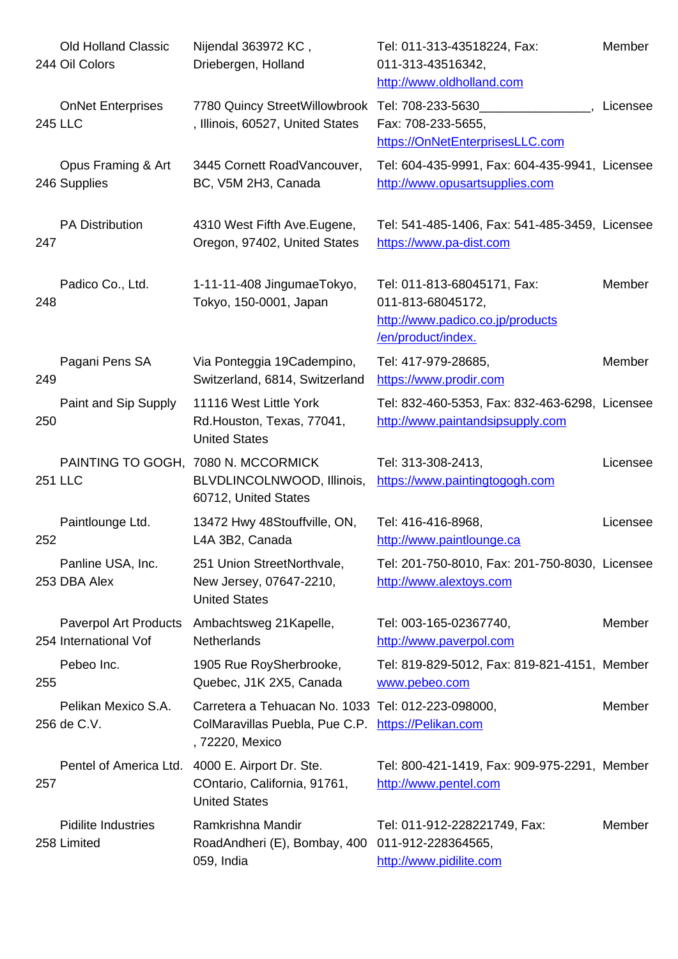|     | 244 Oil Colors                                        | Driebergen, Holland                                                                                                         | 011-313-43516342,<br>http://www.oldholland.com                                                             |          |
|-----|-------------------------------------------------------|-----------------------------------------------------------------------------------------------------------------------------|------------------------------------------------------------------------------------------------------------|----------|
|     | <b>OnNet Enterprises</b><br><b>245 LLC</b>            | 7780 Quincy StreetWillowbrook Tel: 708-233-5630<br>, Illinois, 60527, United States                                         | Fax: 708-233-5655,<br>https://OnNetEnterprisesLLC.com                                                      | Licensee |
|     | Opus Framing & Art<br>246 Supplies                    | 3445 Cornett RoadVancouver,<br>BC, V5M 2H3, Canada                                                                          | Tel: 604-435-9991, Fax: 604-435-9941, Licensee<br>http://www.opusartsupplies.com                           |          |
| 247 | <b>PA Distribution</b>                                | 4310 West Fifth Ave. Eugene,<br>Oregon, 97402, United States                                                                | Tel: 541-485-1406, Fax: 541-485-3459, Licensee<br>https://www.pa-dist.com                                  |          |
| 248 | Padico Co., Ltd.                                      | 1-11-11-408 JingumaeTokyo,<br>Tokyo, 150-0001, Japan                                                                        | Tel: 011-813-68045171, Fax:<br>011-813-68045172,<br>http://www.padico.co.jp/products<br>/en/product/index. | Member   |
| 249 | Pagani Pens SA                                        | Via Ponteggia 19Cadempino,<br>Switzerland, 6814, Switzerland                                                                | Tel: 417-979-28685,<br>https://www.prodir.com                                                              | Member   |
| 250 | Paint and Sip Supply                                  | 11116 West Little York<br>Rd.Houston, Texas, 77041,<br><b>United States</b>                                                 | Tel: 832-460-5353, Fax: 832-463-6298, Licensee<br>http://www.paintandsipsupply.com                         |          |
|     | <b>251 LLC</b>                                        | PAINTING TO GOGH, 7080 N. MCCORMICK<br>BLVDLINCOLNWOOD, Illinois,<br>60712, United States                                   | Tel: 313-308-2413,<br>https://www.paintingtogogh.com                                                       | Licensee |
| 252 | Paintlounge Ltd.                                      | 13472 Hwy 48Stouffville, ON,<br>L4A 3B2, Canada                                                                             | Tel: 416-416-8968,<br>http://www.paintlounge.ca                                                            | Licensee |
|     | Panline USA, Inc.<br>253 DBA Alex                     | 251 Union StreetNorthvale,<br>New Jersey, 07647-2210,<br><b>United States</b>                                               | Tel: 201-750-8010, Fax: 201-750-8030, Licensee<br>http://www.alextoys.com                                  |          |
|     | <b>Paverpol Art Products</b><br>254 International Vof | Ambachtsweg 21 Kapelle,<br><b>Netherlands</b>                                                                               | Tel: 003-165-02367740,<br>http://www.paverpol.com                                                          | Member   |
| 255 | Pebeo Inc.                                            | 1905 Rue RoySherbrooke,<br>Quebec, J1K 2X5, Canada                                                                          | Tel: 819-829-5012, Fax: 819-821-4151, Member<br>www.pebeo.com                                              |          |
|     | Pelikan Mexico S.A.<br>256 de C.V.                    | Carretera a Tehuacan No. 1033 Tel: 012-223-098000,<br>ColMaravillas Puebla, Pue C.P. https://Pelikan.com<br>, 72220, Mexico |                                                                                                            | Member   |
| 257 |                                                       | Pentel of America Ltd. 4000 E. Airport Dr. Ste.<br>COntario, California, 91761,<br><b>United States</b>                     | Tel: 800-421-1419, Fax: 909-975-2291, Member<br>http://www.pentel.com                                      |          |
|     | <b>Pidilite Industries</b><br>258 Limited             | Ramkrishna Mandir<br>RoadAndheri (E), Bombay, 400 011-912-228364565,<br>059, India                                          | Tel: 011-912-228221749, Fax:<br>http://www.pidilite.com                                                    | Member   |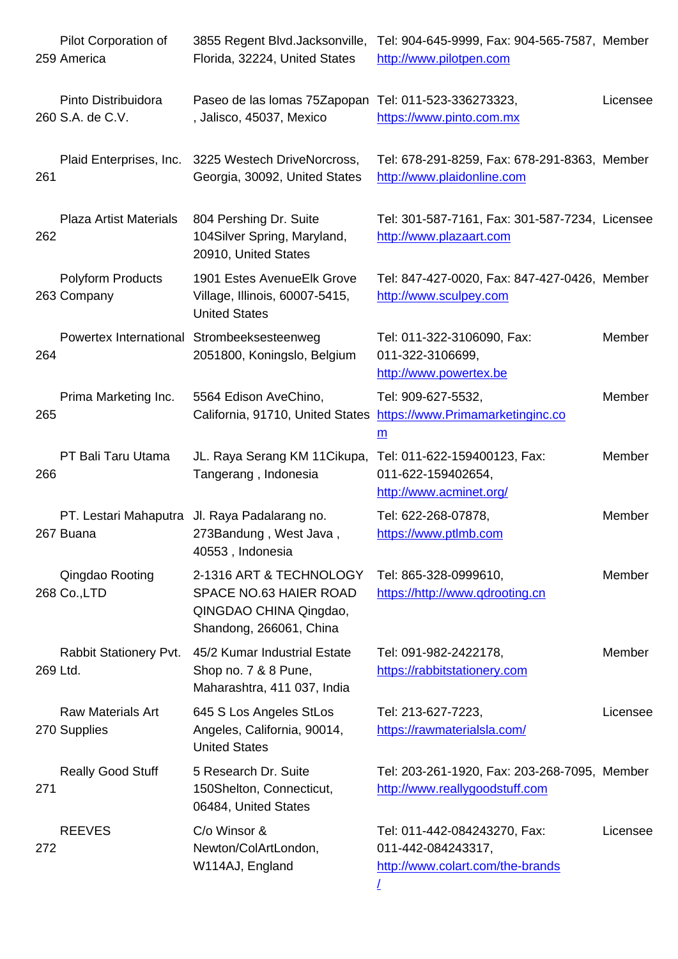|     | <b>259 America</b>                       | Florida, 32224, United States                                                                          | nttp://www.pllotpen.com                                                                |          |
|-----|------------------------------------------|--------------------------------------------------------------------------------------------------------|----------------------------------------------------------------------------------------|----------|
|     | Pinto Distribuidora<br>260 S.A. de C.V.  | Paseo de las lomas 75Zapopan Tel: 011-523-336273323,<br>, Jalisco, 45037, Mexico                       | https://www.pinto.com.mx                                                               | Licensee |
| 261 | Plaid Enterprises, Inc.                  | 3225 Westech DriveNorcross,<br>Georgia, 30092, United States                                           | Tel: 678-291-8259, Fax: 678-291-8363, Member<br>http://www.plaidonline.com             |          |
| 262 | <b>Plaza Artist Materials</b>            | 804 Pershing Dr. Suite<br>104Silver Spring, Maryland,<br>20910, United States                          | Tel: 301-587-7161, Fax: 301-587-7234, Licensee<br>http://www.plazaart.com              |          |
|     | <b>Polyform Products</b><br>263 Company  | 1901 Estes AvenueElk Grove<br>Village, Illinois, 60007-5415,<br><b>United States</b>                   | Tel: 847-427-0020, Fax: 847-427-0426, Member<br>http://www.sculpey.com                 |          |
| 264 |                                          | Powertex International Strombeeksesteenweg<br>2051800, Koningslo, Belgium                              | Tel: 011-322-3106090, Fax:<br>011-322-3106699,<br>http://www.powertex.be               | Member   |
| 265 | Prima Marketing Inc.                     | 5564 Edison AveChino,<br>California, 91710, United States                                              | Tel: 909-627-5532,<br>https://www.Primamarketinginc.co<br>$\underline{\mathbf{m}}$     | Member   |
| 266 | PT Bali Taru Utama                       | JL. Raya Serang KM 11 Cikupa,<br>Tangerang, Indonesia                                                  | Tel: 011-622-159400123, Fax:<br>011-622-159402654,<br>http://www.acminet.org/          | Member   |
|     | 267 Buana                                | PT. Lestari Mahaputra Jl. Raya Padalarang no.<br>273Bandung, West Java,<br>40553, Indonesia            | Tel: 622-268-07878,<br>https://www.ptlmb.com                                           | Member   |
|     | Qingdao Rooting<br>268 Co., LTD          | 2-1316 ART & TECHNOLOGY<br>SPACE NO.63 HAIER ROAD<br>QINGDAO CHINA Qingdao,<br>Shandong, 266061, China | Tel: 865-328-0999610,<br>https://http://www.qdrooting.cn                               | Member   |
|     | Rabbit Stationery Pvt.<br>269 Ltd.       | 45/2 Kumar Industrial Estate<br>Shop no. 7 & 8 Pune,<br>Maharashtra, 411 037, India                    | Tel: 091-982-2422178,<br>https://rabbitstationery.com                                  | Member   |
|     | <b>Raw Materials Art</b><br>270 Supplies | 645 S Los Angeles StLos<br>Angeles, California, 90014,<br><b>United States</b>                         | Tel: 213-627-7223,<br>https://rawmaterialsla.com/                                      | Licensee |
| 271 | <b>Really Good Stuff</b>                 | 5 Research Dr. Suite<br>150Shelton, Connecticut,<br>06484, United States                               | Tel: 203-261-1920, Fax: 203-268-7095, Member<br>http://www.reallygoodstuff.com         |          |
| 272 | <b>REEVES</b>                            | C/o Winsor &<br>Newton/ColArtLondon,<br>W114AJ, England                                                | Tel: 011-442-084243270, Fax:<br>011-442-084243317,<br>http://www.colart.com/the-brands | Licensee |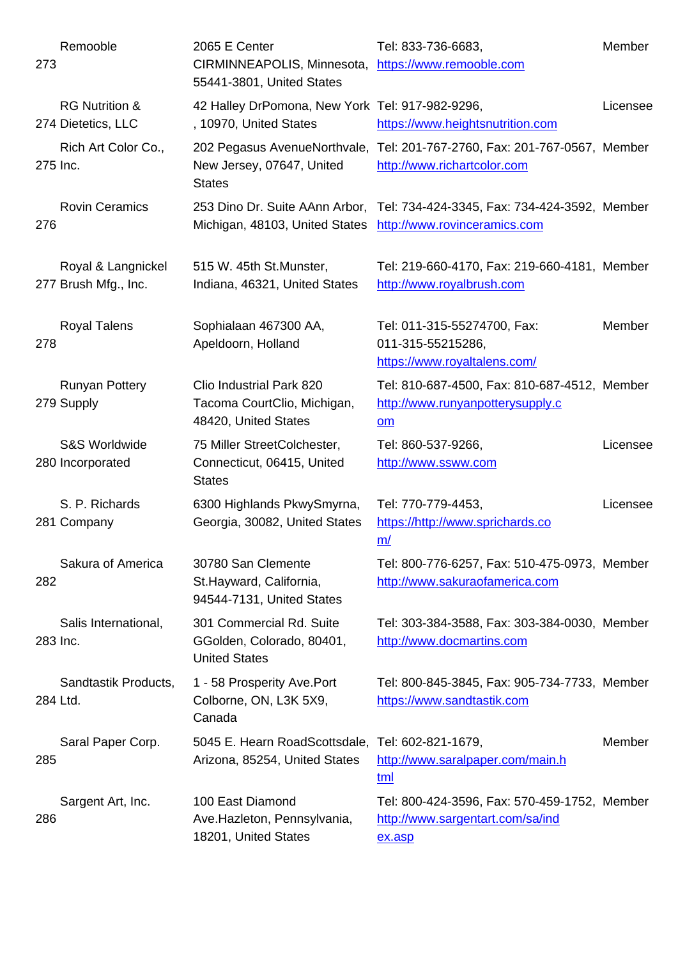| 273 |                                                 | CIRMINNEAPOLIS, Minnesota, https://www.remooble.com<br>55441-3801, United States  |                                                                                                               |          |
|-----|-------------------------------------------------|-----------------------------------------------------------------------------------|---------------------------------------------------------------------------------------------------------------|----------|
|     | <b>RG Nutrition &amp;</b><br>274 Dietetics, LLC | 42 Halley DrPomona, New York Tel: 917-982-9296,<br>, 10970, United States         | https://www.heightsnutrition.com                                                                              | Licensee |
|     | Rich Art Color Co.,<br>275 Inc.                 | New Jersey, 07647, United<br><b>States</b>                                        | 202 Pegasus AvenueNorthvale, Tel: 201-767-2760, Fax: 201-767-0567, Member<br>http://www.richartcolor.com      |          |
| 276 | <b>Rovin Ceramics</b>                           | Michigan, 48103, United States                                                    | 253 Dino Dr. Suite AAnn Arbor, Tel: 734-424-3345, Fax: 734-424-3592, Member<br>http://www.rovinceramics.com   |          |
|     | Royal & Langnickel<br>277 Brush Mfg., Inc.      | 515 W. 45th St. Munster,<br>Indiana, 46321, United States                         | Tel: 219-660-4170, Fax: 219-660-4181, Member<br>http://www.royalbrush.com                                     |          |
| 278 | <b>Royal Talens</b>                             | Sophialaan 467300 AA,<br>Apeldoorn, Holland                                       | Tel: 011-315-55274700, Fax:<br>011-315-55215286,<br>https://www.royaltalens.com/                              | Member   |
|     | <b>Runyan Pottery</b><br>279 Supply             | Clio Industrial Park 820<br>Tacoma CourtClio, Michigan,<br>48420, United States   | Tel: 810-687-4500, Fax: 810-687-4512, Member<br>http://www.runyanpotterysupply.c<br>$\underline{\mathsf{om}}$ |          |
|     | <b>S&amp;S Worldwide</b><br>280 Incorporated    | 75 Miller StreetColchester,<br>Connecticut, 06415, United<br><b>States</b>        | Tel: 860-537-9266,<br>http://www.ssww.com                                                                     | Licensee |
|     | S. P. Richards<br>281 Company                   | 6300 Highlands PkwySmyrna,<br>Georgia, 30082, United States                       | Tel: 770-779-4453,<br>https://http://www.sprichards.co<br>m/                                                  | Licensee |
| 282 | Sakura of America                               | 30780 San Clemente<br>St. Hayward, California,<br>94544-7131, United States       | Tel: 800-776-6257, Fax: 510-475-0973, Member<br>http://www.sakuraofamerica.com                                |          |
|     | Salis International,<br>283 Inc.                | 301 Commercial Rd. Suite<br>GGolden, Colorado, 80401,<br><b>United States</b>     | Tel: 303-384-3588, Fax: 303-384-0030, Member<br>http://www.docmartins.com                                     |          |
|     | Sandtastik Products,<br>284 Ltd.                | 1 - 58 Prosperity Ave.Port<br>Colborne, ON, L3K 5X9,<br>Canada                    | Tel: 800-845-3845, Fax: 905-734-7733, Member<br>https://www.sandtastik.com                                    |          |
| 285 | Saral Paper Corp.                               | 5045 E. Hearn RoadScottsdale, Tel: 602-821-1679,<br>Arizona, 85254, United States | http://www.saralpaper.com/main.h<br>tml                                                                       | Member   |
| 286 | Sargent Art, Inc.                               | 100 East Diamond<br>Ave.Hazleton, Pennsylvania,<br>18201, United States           | Tel: 800-424-3596, Fax: 570-459-1752, Member<br>http://www.sargentart.com/sa/ind<br>ex.asp                    |          |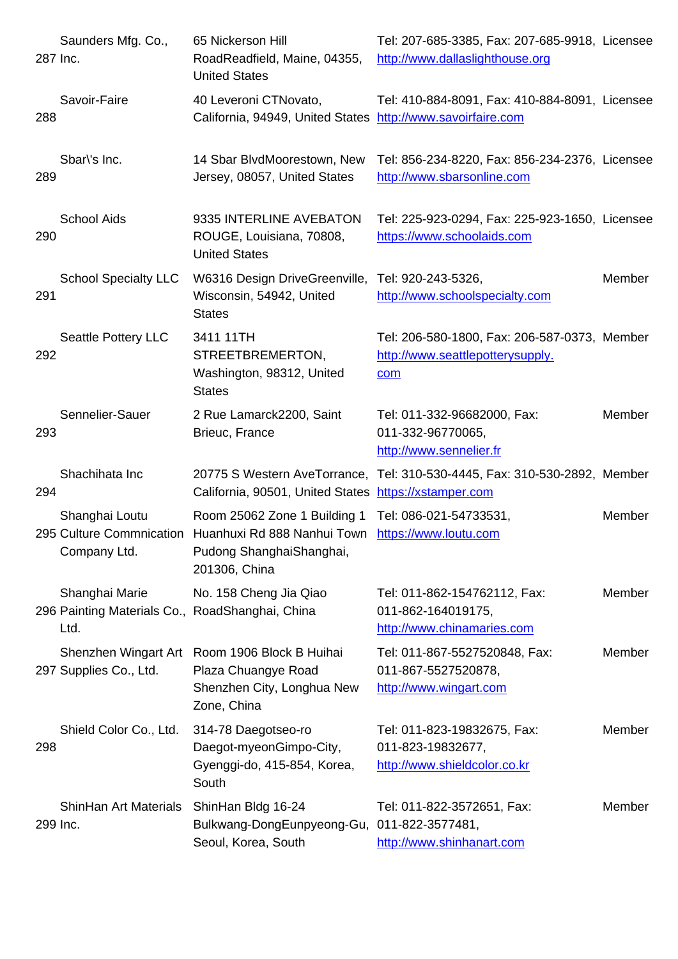|     | <u>287 INC.</u>                                                           | RoadReadfield, Maine, 04355,<br><b>United States</b>                                                                              | http://www.dallaslighthouse.org                                                         |        |
|-----|---------------------------------------------------------------------------|-----------------------------------------------------------------------------------------------------------------------------------|-----------------------------------------------------------------------------------------|--------|
| 288 | Savoir-Faire                                                              | 40 Leveroni CTNovato,<br>California, 94949, United States http://www.savoirfaire.com                                              | Tel: 410-884-8091, Fax: 410-884-8091, Licensee                                          |        |
| 289 | Sbar\'s Inc.                                                              | 14 Sbar BlvdMoorestown, New<br>Jersey, 08057, United States                                                                       | Tel: 856-234-8220, Fax: 856-234-2376, Licensee<br>http://www.sbarsonline.com            |        |
| 290 | <b>School Aids</b>                                                        | 9335 INTERLINE AVEBATON<br>ROUGE, Louisiana, 70808,<br><b>United States</b>                                                       | Tel: 225-923-0294, Fax: 225-923-1650, Licensee<br>https://www.schoolaids.com            |        |
| 291 | <b>School Specialty LLC</b>                                               | W6316 Design DriveGreenville,<br>Wisconsin, 54942, United<br><b>States</b>                                                        | Tel: 920-243-5326,<br>http://www.schoolspecialty.com                                    | Member |
| 292 | Seattle Pottery LLC                                                       | 3411 11TH<br>STREETBREMERTON,<br>Washington, 98312, United<br><b>States</b>                                                       | Tel: 206-580-1800, Fax: 206-587-0373, Member<br>http://www.seattlepotterysupply.<br>com |        |
| 293 | Sennelier-Sauer                                                           | 2 Rue Lamarck2200, Saint<br>Brieuc, France                                                                                        | Tel: 011-332-96682000, Fax:<br>011-332-96770065,<br>http://www.sennelier.fr             | Member |
| 294 | Shachihata Inc                                                            | 20775 S Western AveTorrance,<br>California, 90501, United States                                                                  | Tel: 310-530-4445, Fax: 310-530-2892, Member<br>https://xstamper.com                    |        |
|     | Shanghai Loutu<br>Company Ltd.                                            | Room 25062 Zone 1 Building 1<br>295 Culture Commnication Huanhuxi Rd 888 Nanhui Town<br>Pudong ShanghaiShanghai,<br>201306, China | Tel: 086-021-54733531,<br>https://www.loutu.com                                         | Member |
|     | Shanghai Marie<br>296 Painting Materials Co., RoadShanghai, China<br>Ltd. | No. 158 Cheng Jia Qiao                                                                                                            | Tel: 011-862-154762112, Fax:<br>011-862-164019175,<br>http://www.chinamaries.com        | Member |
|     | 297 Supplies Co., Ltd.                                                    | Shenzhen Wingart Art Room 1906 Block B Huihai<br>Plaza Chuangye Road<br>Shenzhen City, Longhua New<br>Zone, China                 | Tel: 011-867-5527520848, Fax:<br>011-867-5527520878,<br>http://www.wingart.com          | Member |
| 298 | Shield Color Co., Ltd.                                                    | 314-78 Daegotseo-ro<br>Daegot-myeonGimpo-City,<br>Gyenggi-do, 415-854, Korea,<br>South                                            | Tel: 011-823-19832675, Fax:<br>011-823-19832677,<br>http://www.shieldcolor.co.kr        | Member |
|     | <b>ShinHan Art Materials</b><br>299 Inc.                                  | ShinHan Bldg 16-24<br>Bulkwang-DongEunpyeong-Gu, 011-822-3577481,<br>Seoul, Korea, South                                          | Tel: 011-822-3572651, Fax:<br>http://www.shinhanart.com                                 | Member |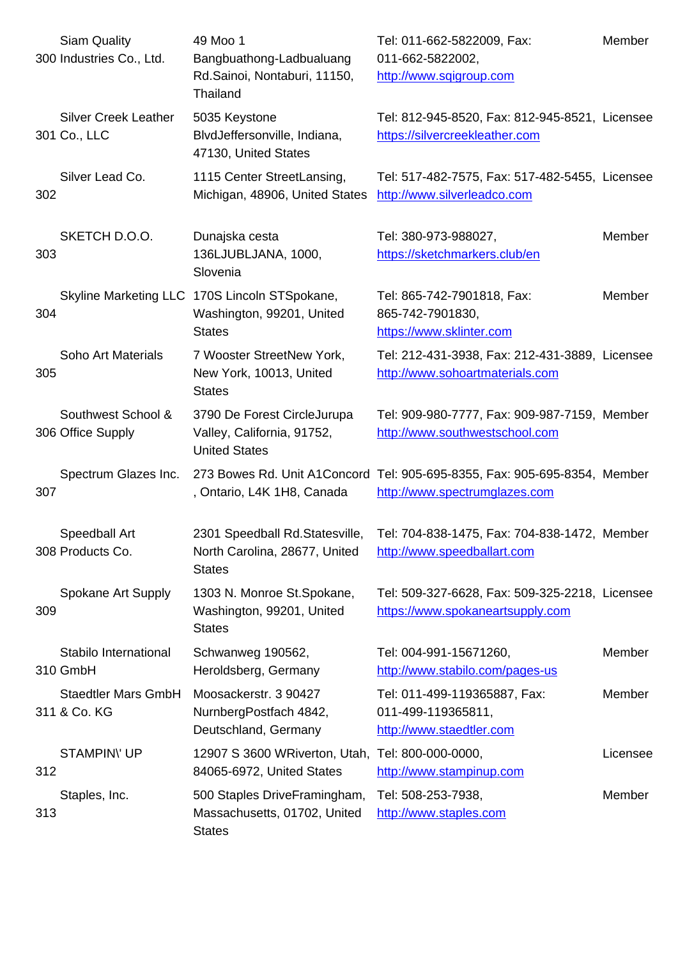|     | 300 Industries Co., Ltd.                    | Bangpuatnong-Ladbualuang<br>Rd.Sainoi, Nontaburi, 11150,<br>Thailand                        | UT1-002-5822002,<br>http://www.sqigroup.com                                                                |               |
|-----|---------------------------------------------|---------------------------------------------------------------------------------------------|------------------------------------------------------------------------------------------------------------|---------------|
|     | <b>Silver Creek Leather</b><br>301 Co., LLC | 5035 Keystone<br>BlvdJeffersonville, Indiana,<br>47130, United States                       | Tel: 812-945-8520, Fax: 812-945-8521, Licensee<br>https://silvercreekleather.com                           |               |
| 302 | Silver Lead Co.                             | 1115 Center StreetLansing,<br>Michigan, 48906, United States                                | Tel: 517-482-7575, Fax: 517-482-5455, Licensee<br>http://www.silverleadco.com                              |               |
| 303 | SKETCH D.O.O.                               | Dunajska cesta<br>136LJUBLJANA, 1000,<br>Slovenia                                           | Tel: 380-973-988027,<br>https://sketchmarkers.club/en                                                      | Member        |
| 304 |                                             | Skyline Marketing LLC 170S Lincoln STSpokane,<br>Washington, 99201, United<br><b>States</b> | Tel: 865-742-7901818, Fax:<br>865-742-7901830,<br>https://www.sklinter.com                                 | Member        |
| 305 | Soho Art Materials                          | 7 Wooster StreetNew York,<br>New York, 10013, United<br><b>States</b>                       | Tel: 212-431-3938, Fax: 212-431-3889, Licensee<br>http://www.sohoartmaterials.com                          |               |
|     | Southwest School &<br>306 Office Supply     | 3790 De Forest CircleJurupa<br>Valley, California, 91752,<br><b>United States</b>           | Tel: 909-980-7777, Fax: 909-987-7159, Member<br>http://www.southwestschool.com                             |               |
| 307 | Spectrum Glazes Inc.                        | , Ontario, L4K 1H8, Canada                                                                  | 273 Bowes Rd. Unit A1Concord Tel: 905-695-8355, Fax: 905-695-8354, Member<br>http://www.spectrumglazes.com |               |
|     | Speedball Art<br>308 Products Co.           | 2301 Speedball Rd.Statesville,<br>North Carolina, 28677, United<br><b>States</b>            | Tel: 704-838-1475, Fax: 704-838-1472, Member<br>http://www.speedballart.com                                |               |
| 309 | Spokane Art Supply                          | 1303 N. Monroe St. Spokane,<br>Washington, 99201, United<br><b>States</b>                   | Tel: 509-327-6628, Fax: 509-325-2218, Licensee<br>https://www.spokaneartsupply.com                         |               |
|     | Stabilo International<br>310 GmbH           | Schwanweg 190562,<br>Heroldsberg, Germany                                                   | Tel: 004-991-15671260,<br>http://www.stabilo.com/pages-us                                                  | <b>Member</b> |
|     | <b>Staedtler Mars GmbH</b><br>311 & Co. KG  | Moosackerstr. 3 90427<br>NurnbergPostfach 4842,<br>Deutschland, Germany                     | Tel: 011-499-119365887, Fax:<br>011-499-119365811,<br>http://www.staedtler.com                             | Member        |
| 312 | <b>STAMPINY UP</b>                          | 12907 S 3600 WRiverton, Utah, Tel: 800-000-0000,<br>84065-6972, United States               | http://www.stampinup.com                                                                                   | Licensee      |
| 313 | Staples, Inc.                               | 500 Staples DriveFramingham,<br>Massachusetts, 01702, United<br><b>States</b>               | Tel: 508-253-7938,<br>http://www.staples.com                                                               | Member        |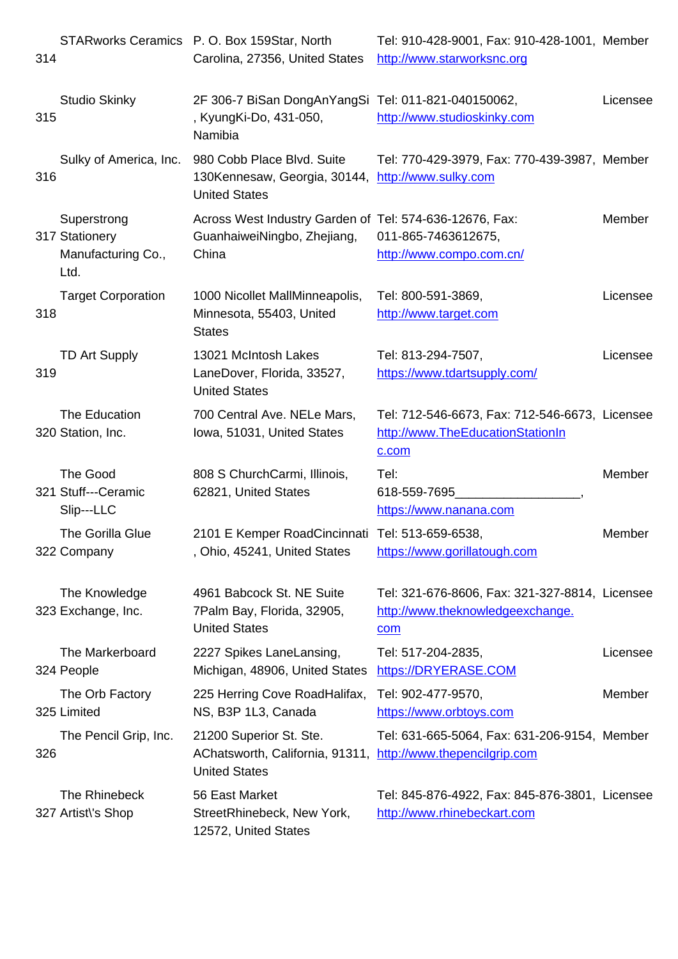| 14ض |                                                             | Carolina, 27356, United States http://www.starworkshc.org                                                       |                                                                                             |               |
|-----|-------------------------------------------------------------|-----------------------------------------------------------------------------------------------------------------|---------------------------------------------------------------------------------------------|---------------|
| 315 | <b>Studio Skinky</b>                                        | 2F 306-7 BiSan DongAnYangSi Tel: 011-821-040150062,<br>, KyungKi-Do, 431-050,<br>Namibia                        | http://www.studioskinky.com                                                                 | Licensee      |
| 316 | Sulky of America, Inc.                                      | 980 Cobb Place Blvd. Suite<br>130Kennesaw, Georgia, 30144,<br><b>United States</b>                              | Tel: 770-429-3979, Fax: 770-439-3987, Member<br>http://www.sulky.com                        |               |
|     | Superstrong<br>317 Stationery<br>Manufacturing Co.,<br>Ltd. | Across West Industry Garden of Tel: 574-636-12676, Fax:<br>GuanhaiweiNingbo, Zhejiang,<br>China                 | 011-865-7463612675,<br>http://www.compo.com.cn/                                             | Member        |
| 318 | <b>Target Corporation</b>                                   | 1000 Nicollet MallMinneapolis,<br>Minnesota, 55403, United<br><b>States</b>                                     | Tel: 800-591-3869,<br>http://www.target.com                                                 | Licensee      |
| 319 | <b>TD Art Supply</b>                                        | 13021 McIntosh Lakes<br>LaneDover, Florida, 33527,<br><b>United States</b>                                      | Tel: 813-294-7507,<br>https://www.tdartsupply.com/                                          | Licensee      |
|     | The Education<br>320 Station, Inc.                          | 700 Central Ave. NELe Mars,<br>Iowa, 51031, United States                                                       | Tel: 712-546-6673, Fax: 712-546-6673, Licensee<br>http://www.TheEducationStationIn<br>c.com |               |
|     | The Good<br>321 Stuff---Ceramic<br>Slip---LLC               | 808 S ChurchCarmi, Illinois,<br>62821, United States                                                            | Tel:<br>618-559-7695<br>https://www.nanana.com                                              | Member        |
|     | The Gorilla Glue<br>322 Company                             | 2101 E Kemper RoadCincinnati Tel: 513-659-6538,<br>, Ohio, 45241, United States                                 | https://www.gorillatough.com                                                                | <b>Member</b> |
|     | The Knowledge<br>323 Exchange, Inc.                         | 4961 Babcock St. NE Suite<br>7Palm Bay, Florida, 32905,<br><b>United States</b>                                 | Tel: 321-676-8606, Fax: 321-327-8814, Licensee<br>http://www.theknowledgeexchange.<br>com   |               |
|     | The Markerboard<br>324 People                               | 2227 Spikes LaneLansing,<br>Michigan, 48906, United States                                                      | Tel: 517-204-2835,<br>https://DRYERASE.COM                                                  | Licensee      |
|     | The Orb Factory<br>325 Limited                              | 225 Herring Cove RoadHalifax,<br>NS, B3P 1L3, Canada                                                            | Tel: 902-477-9570,<br>https://www.orbtoys.com                                               | Member        |
| 326 | The Pencil Grip, Inc.                                       | 21200 Superior St. Ste.<br>AChatsworth, California, 91311, http://www.thepencilgrip.com<br><b>United States</b> | Tel: 631-665-5064, Fax: 631-206-9154, Member                                                |               |
|     | The Rhinebeck<br>327 Artist\'s Shop                         | 56 East Market<br>StreetRhinebeck, New York,<br>12572, United States                                            | Tel: 845-876-4922, Fax: 845-876-3801, Licensee<br>http://www.rhinebeckart.com               |               |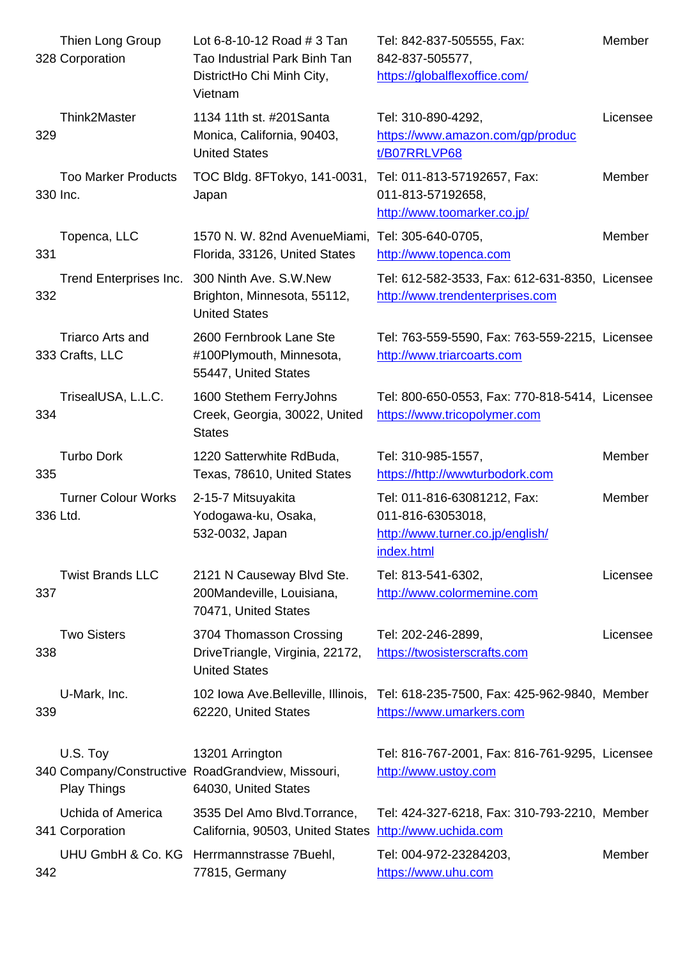|          | 328 Corporation                            | Tao Industrial Park Binn Tan<br>DistrictHo Chi Minh City,<br>Vietnam                         | 842-837-505677,<br>https://globalflexoffice.com/                                                   |          |
|----------|--------------------------------------------|----------------------------------------------------------------------------------------------|----------------------------------------------------------------------------------------------------|----------|
| 329      | Think2Master                               | 1134 11th st. #201 Santa<br>Monica, California, 90403,<br><b>United States</b>               | Tel: 310-890-4292,<br>https://www.amazon.com/gp/produc<br>t/B07RRLVP68                             | Licensee |
| 330 Inc. | <b>Too Marker Products</b>                 | TOC Bldg. 8FTokyo, 141-0031,<br>Japan                                                        | Tel: 011-813-57192657, Fax:<br>011-813-57192658,<br>http://www.toomarker.co.jp/                    | Member   |
| 331      | Topenca, LLC                               | 1570 N. W. 82nd AvenueMiami, Tel: 305-640-0705,<br>Florida, 33126, United States             | http://www.topenca.com                                                                             | Member   |
| 332      | Trend Enterprises Inc.                     | 300 Ninth Ave. S.W.New<br>Brighton, Minnesota, 55112,<br><b>United States</b>                | Tel: 612-582-3533, Fax: 612-631-8350, Licensee<br>http://www.trendenterprises.com                  |          |
|          | <b>Triarco Arts and</b><br>333 Crafts, LLC | 2600 Fernbrook Lane Ste<br>#100Plymouth, Minnesota,<br>55447, United States                  | Tel: 763-559-5590, Fax: 763-559-2215, Licensee<br>http://www.triarcoarts.com                       |          |
| 334      | TrisealUSA, L.L.C.                         | 1600 Stethem FerryJohns<br>Creek, Georgia, 30022, United<br><b>States</b>                    | Tel: 800-650-0553, Fax: 770-818-5414, Licensee<br>https://www.tricopolymer.com                     |          |
| 335      | <b>Turbo Dork</b>                          | 1220 Satterwhite RdBuda,<br>Texas, 78610, United States                                      | Tel: 310-985-1557,<br>https://http://wwwturbodork.com                                              | Member   |
|          | <b>Turner Colour Works</b><br>336 Ltd.     | 2-15-7 Mitsuyakita<br>Yodogawa-ku, Osaka,<br>532-0032, Japan                                 | Tel: 011-816-63081212, Fax:<br>011-816-63053018,<br>http://www.turner.co.jp/english/<br>index.html | Member   |
| 337      | <b>Twist Brands LLC</b>                    | 2121 N Causeway Blvd Ste.<br>200Mandeville, Louisiana,<br>70471, United States               | Tel: 813-541-6302,<br>http://www.colormemine.com                                                   | Licensee |
| 338      | <b>Two Sisters</b>                         | 3704 Thomasson Crossing<br>DriveTriangle, Virginia, 22172,<br><b>United States</b>           | Tel: 202-246-2899,<br>https://twosisterscrafts.com                                                 | Licensee |
| 339      | U-Mark, Inc.                               | 102 Iowa Ave. Belleville, Illinois,<br>62220, United States                                  | Tel: 618-235-7500, Fax: 425-962-9840, Member<br>https://www.umarkers.com                           |          |
|          | U.S. Toy<br><b>Play Things</b>             | 13201 Arrington<br>340 Company/Constructive RoadGrandview, Missouri,<br>64030, United States | Tel: 816-767-2001, Fax: 816-761-9295, Licensee<br>http://www.ustoy.com                             |          |
|          | Uchida of America<br>341 Corporation       | 3535 Del Amo Blvd. Torrance,<br>California, 90503, United States                             | Tel: 424-327-6218, Fax: 310-793-2210, Member<br>http://www.uchida.com                              |          |
| 342      |                                            | UHU GmbH & Co. KG Herrmannstrasse 7Buehl,<br>77815, Germany                                  | Tel: 004-972-23284203,<br>https://www.uhu.com                                                      | Member   |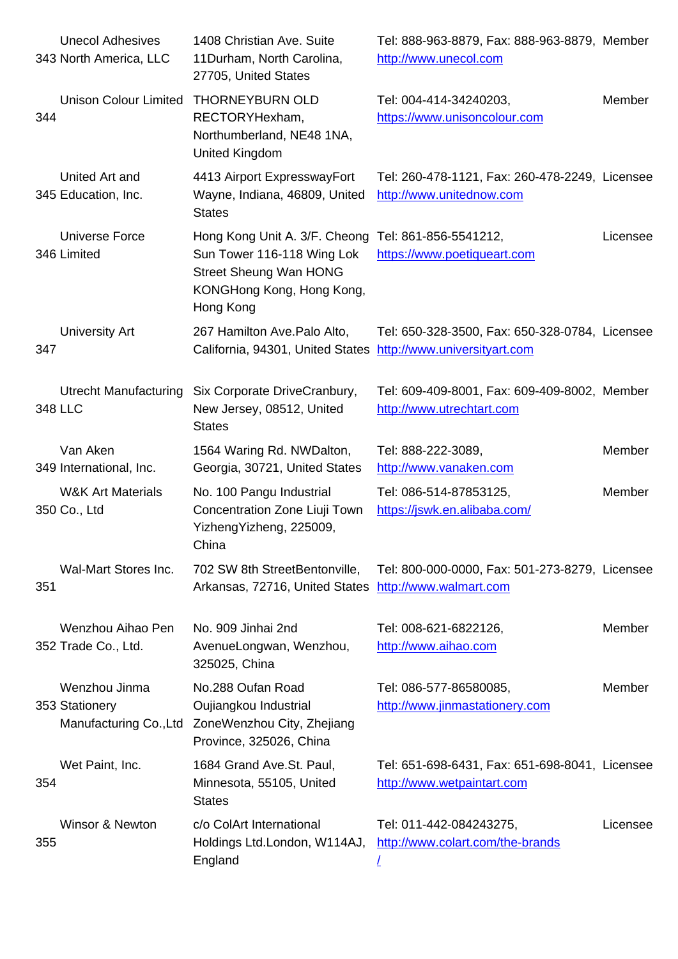|     | 343 NORTH AMERICA, LLC                                    | TTDurnam, North Carolina,<br>27705, United States                                                                                                            | nttp://www.unecol.com                                                        |          |
|-----|-----------------------------------------------------------|--------------------------------------------------------------------------------------------------------------------------------------------------------------|------------------------------------------------------------------------------|----------|
| 344 | <b>Unison Colour Limited</b>                              | <b>THORNEYBURN OLD</b><br>RECTORYHexham,<br>Northumberland, NE48 1NA,<br>United Kingdom                                                                      | Tel: 004-414-34240203,<br>https://www.unisoncolour.com                       | Member   |
|     | United Art and<br>345 Education, Inc.                     | 4413 Airport ExpresswayFort<br>Wayne, Indiana, 46809, United<br><b>States</b>                                                                                | Tel: 260-478-1121, Fax: 260-478-2249, Licensee<br>http://www.unitednow.com   |          |
|     | Universe Force<br>346 Limited                             | Hong Kong Unit A. 3/F. Cheong Tel: 861-856-5541212,<br>Sun Tower 116-118 Wing Lok<br><b>Street Sheung Wan HONG</b><br>KONGHong Kong, Hong Kong,<br>Hong Kong | https://www.poetiqueart.com                                                  | Licensee |
| 347 | <b>University Art</b>                                     | 267 Hamilton Ave. Palo Alto,<br>California, 94301, United States http://www.universityart.com                                                                | Tel: 650-328-3500, Fax: 650-328-0784, Licensee                               |          |
|     | <b>Utrecht Manufacturing</b><br>348 LLC                   | Six Corporate DriveCranbury,<br>New Jersey, 08512, United<br><b>States</b>                                                                                   | Tel: 609-409-8001, Fax: 609-409-8002, Member<br>http://www.utrechtart.com    |          |
|     | Van Aken<br>349 International, Inc.                       | 1564 Waring Rd. NWDalton,<br>Georgia, 30721, United States                                                                                                   | Tel: 888-222-3089,<br>http://www.vanaken.com                                 | Member   |
|     | <b>W&amp;K Art Materials</b><br>350 Co., Ltd              | No. 100 Pangu Industrial<br>Concentration Zone Liuji Town<br>YizhengYizheng, 225009,<br>China                                                                | Tel: 086-514-87853125,<br>https://jswk.en.alibaba.com/                       | Member   |
| 351 | Wal-Mart Stores Inc.                                      | 702 SW 8th StreetBentonville,<br>Arkansas, 72716, United States http://www.walmart.com                                                                       | Tel: 800-000-0000, Fax: 501-273-8279, Licensee                               |          |
|     | Wenzhou Aihao Pen<br>352 Trade Co., Ltd.                  | No. 909 Jinhai 2nd<br>AvenueLongwan, Wenzhou,<br>325025, China                                                                                               | Tel: 008-621-6822126,<br>http://www.aihao.com                                | Member   |
|     | Wenzhou Jinma<br>353 Stationery<br>Manufacturing Co., Ltd | No.288 Oufan Road<br>Oujiangkou Industrial<br>ZoneWenzhou City, Zhejiang<br>Province, 325026, China                                                          | Tel: 086-577-86580085,<br>http://www.jinmastationery.com                     | Member   |
| 354 | Wet Paint, Inc.                                           | 1684 Grand Ave.St. Paul,<br>Minnesota, 55105, United<br><b>States</b>                                                                                        | Tel: 651-698-6431, Fax: 651-698-8041, Licensee<br>http://www.wetpaintart.com |          |
| 355 | Winsor & Newton                                           | c/o ColArt International<br>Holdings Ltd.London, W114AJ,<br>England                                                                                          | Tel: 011-442-084243275,<br>http://www.colart.com/the-brands                  | Licensee |